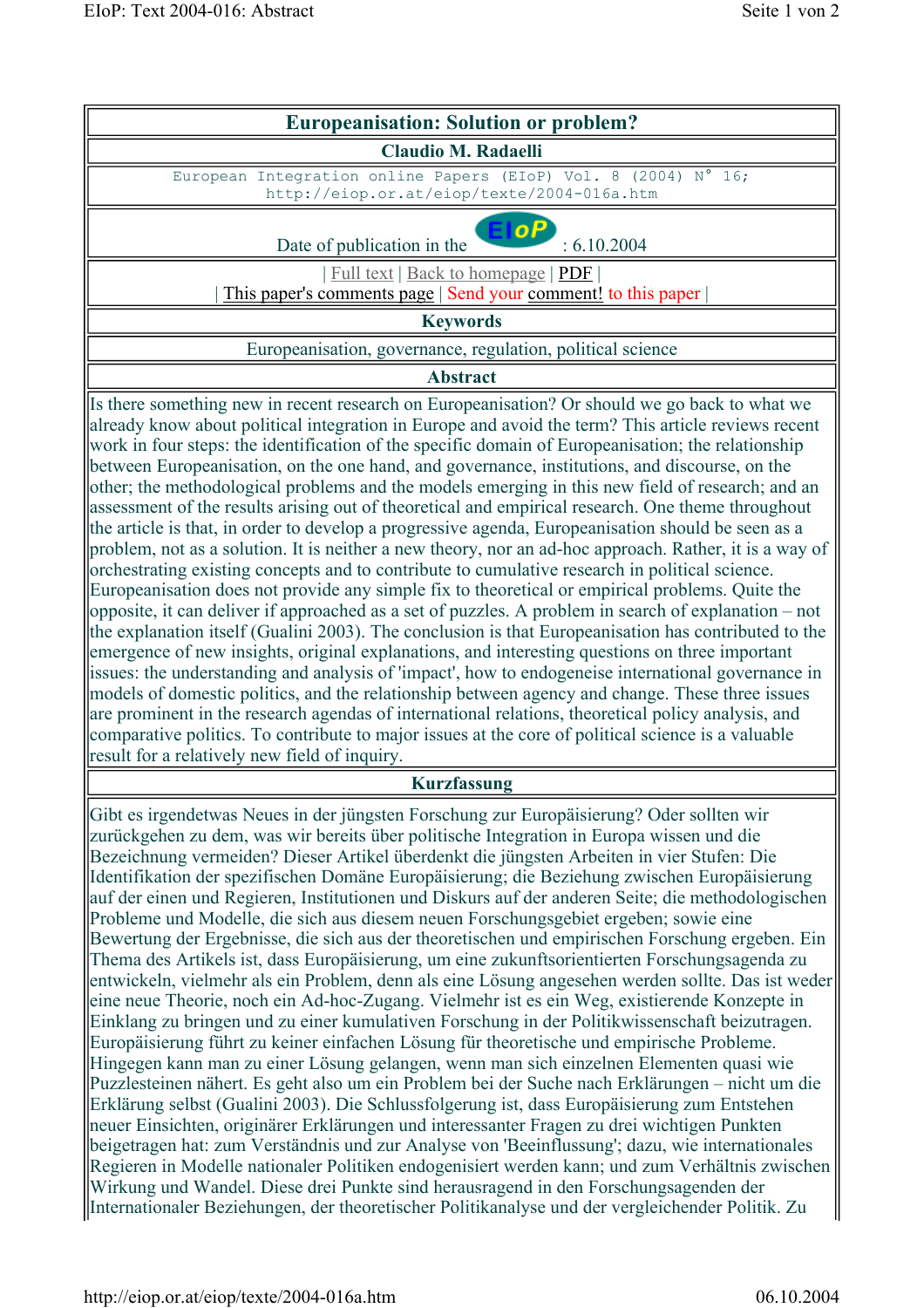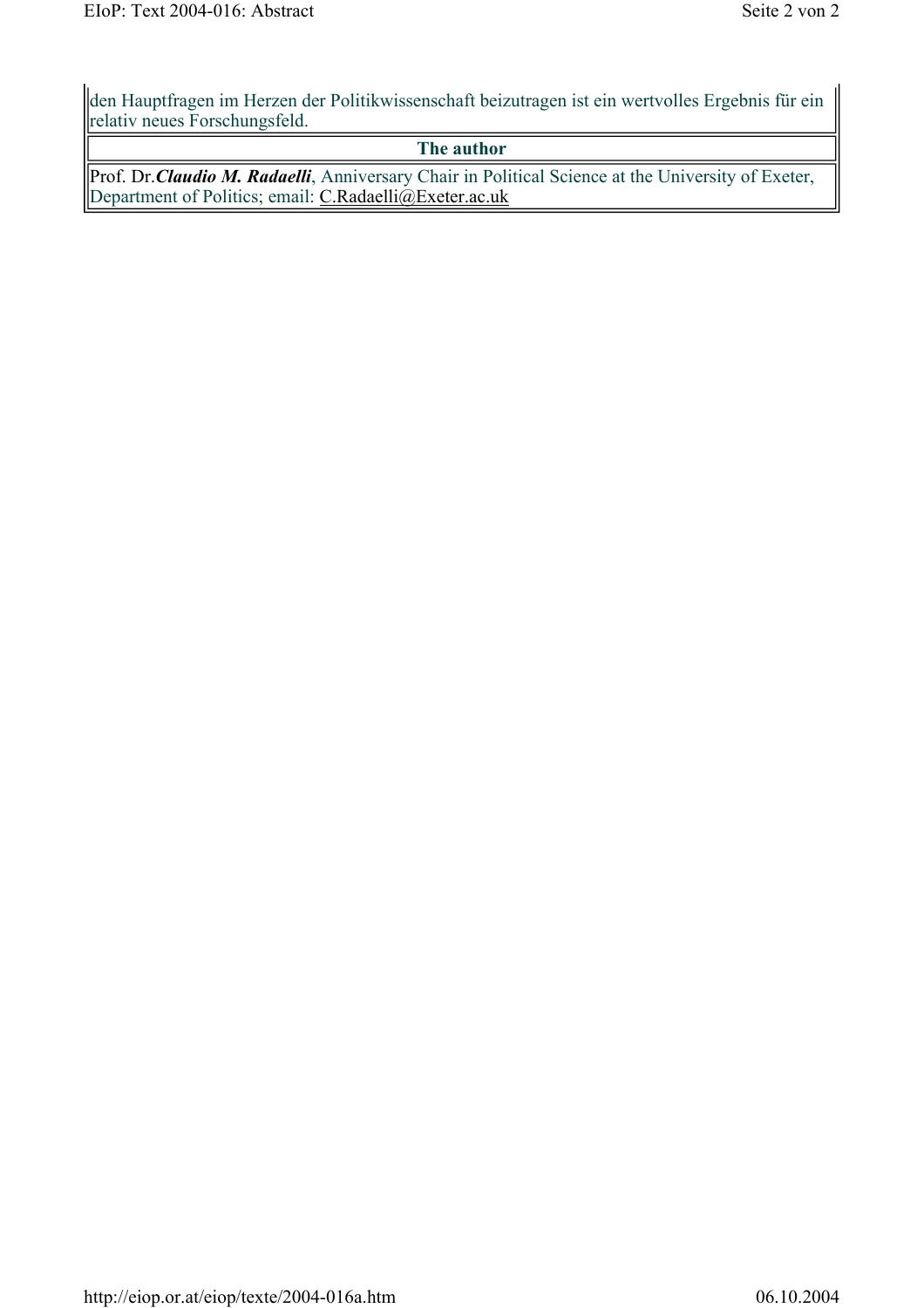den Hauptfragen im Herzen der Politikwissenschaft beizutragen ist ein wertvolles Ergebnis für ein relativ neues Forschungsfeld.

#### **The author**

Prof. Dr.*Claudio M. Radaelli*, Anniversary Chair in Political Science at the University of Exeter, Department of Politics; email: C.Radaelli@Exeter.ac.uk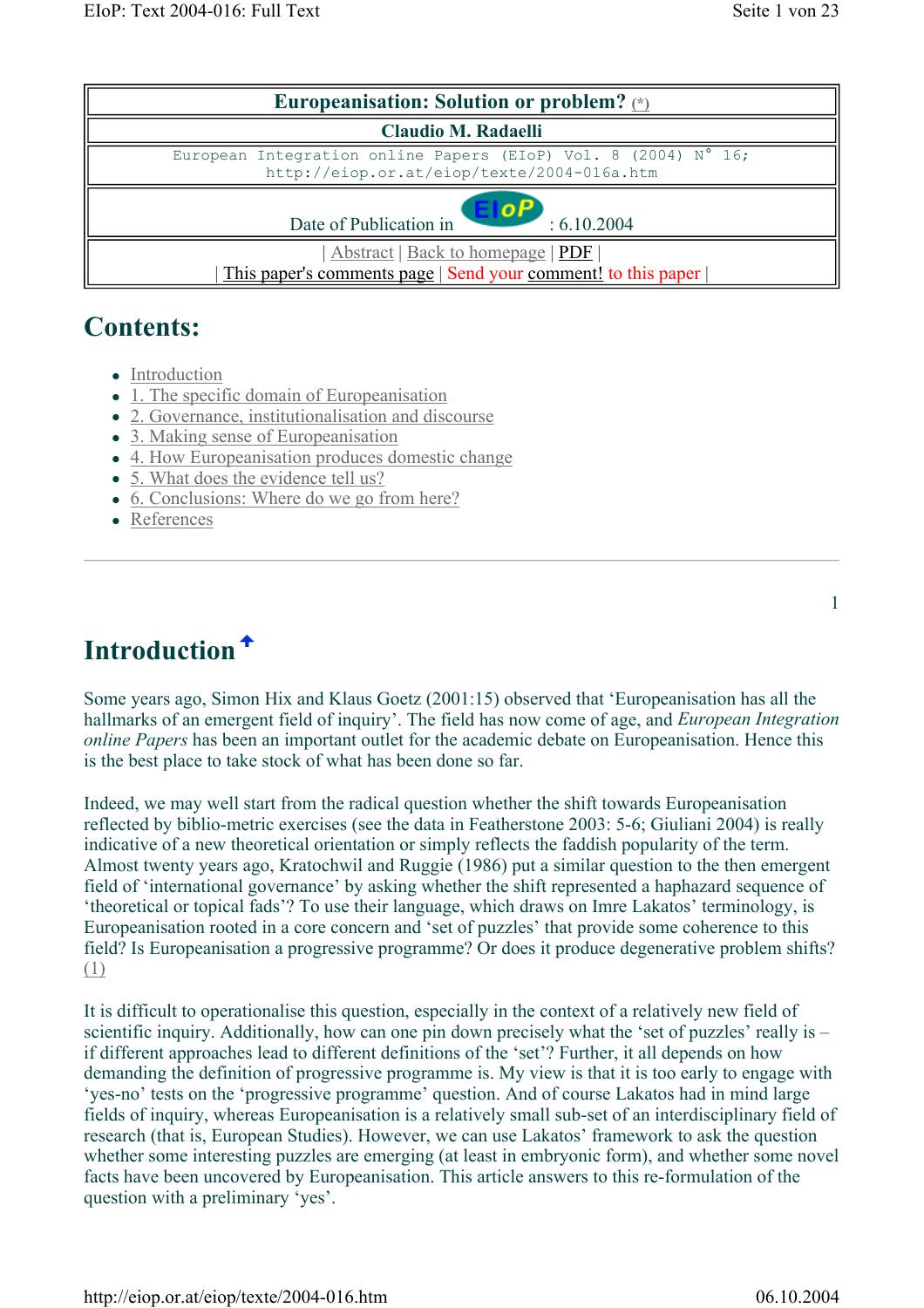| Europeanisation: Solution or problem? $\langle \cdot \rangle$                                                |  |  |  |  |
|--------------------------------------------------------------------------------------------------------------|--|--|--|--|
| <b>Claudio M. Radaelli</b>                                                                                   |  |  |  |  |
| European Integration online Papers (EIoP) Vol. 8 (2004) N° 16;<br>http://eiop.or.at/eiop/texte/2004-016a.htm |  |  |  |  |
| <b>OF</b><br>Date of Publication in<br>: 6.10.2004                                                           |  |  |  |  |
| Abstract   Back to homepage   PDF  <br>This paper's comments page   Send your comment! to this paper         |  |  |  |  |

### **Contents:**

- Introduction
- $\bullet$  1. The specific domain of Europeanisation
- 2. Governance, institutionalisation and discourse
- 3. Making sense of Europeanisation
- 4. How Europeanisation produces domestic change
- 5. What does the evidence tell us?
- 6. Conclusions: Where do we go from here?
- References

### **Introduction**

Some years ago, Simon Hix and Klaus Goetz (2001:15) observed that 'Europeanisation has all the hallmarks of an emergent field of inquiry'. The field has now come of age, and *European Integration online Papers* has been an important outlet for the academic debate on Europeanisation. Hence this is the best place to take stock of what has been done so far.

Indeed, we may well start from the radical question whether the shift towards Europeanisation reflected by biblio-metric exercises (see the data in Featherstone 2003: 5-6; Giuliani 2004) is really indicative of a new theoretical orientation or simply reflects the faddish popularity of the term. Almost twenty years ago, Kratochwil and Ruggie (1986) put a similar question to the then emergent field of 'international governance' by asking whether the shift represented a haphazard sequence of 'theoretical or topical fads'? To use their language, which draws on Imre Lakatos' terminology, is Europeanisation rooted in a core concern and 'set of puzzles' that provide some coherence to this field? Is Europeanisation a progressive programme? Or does it produce degenerative problem shifts? (1)

It is difficult to operationalise this question, especially in the context of a relatively new field of scientific inquiry. Additionally, how can one pin down precisely what the 'set of puzzles' really is – if different approaches lead to different definitions of the 'set'? Further, it all depends on how demanding the definition of progressive programme is. My view is that it is too early to engage with 'yes-no' tests on the 'progressive programme' question. And of course Lakatos had in mind large fields of inquiry, whereas Europeanisation is a relatively small sub-set of an interdisciplinary field of research (that is, European Studies). However, we can use Lakatos' framework to ask the question whether some interesting puzzles are emerging (at least in embryonic form), and whether some novel facts have been uncovered by Europeanisation. This article answers to this re-formulation of the question with a preliminary 'yes'.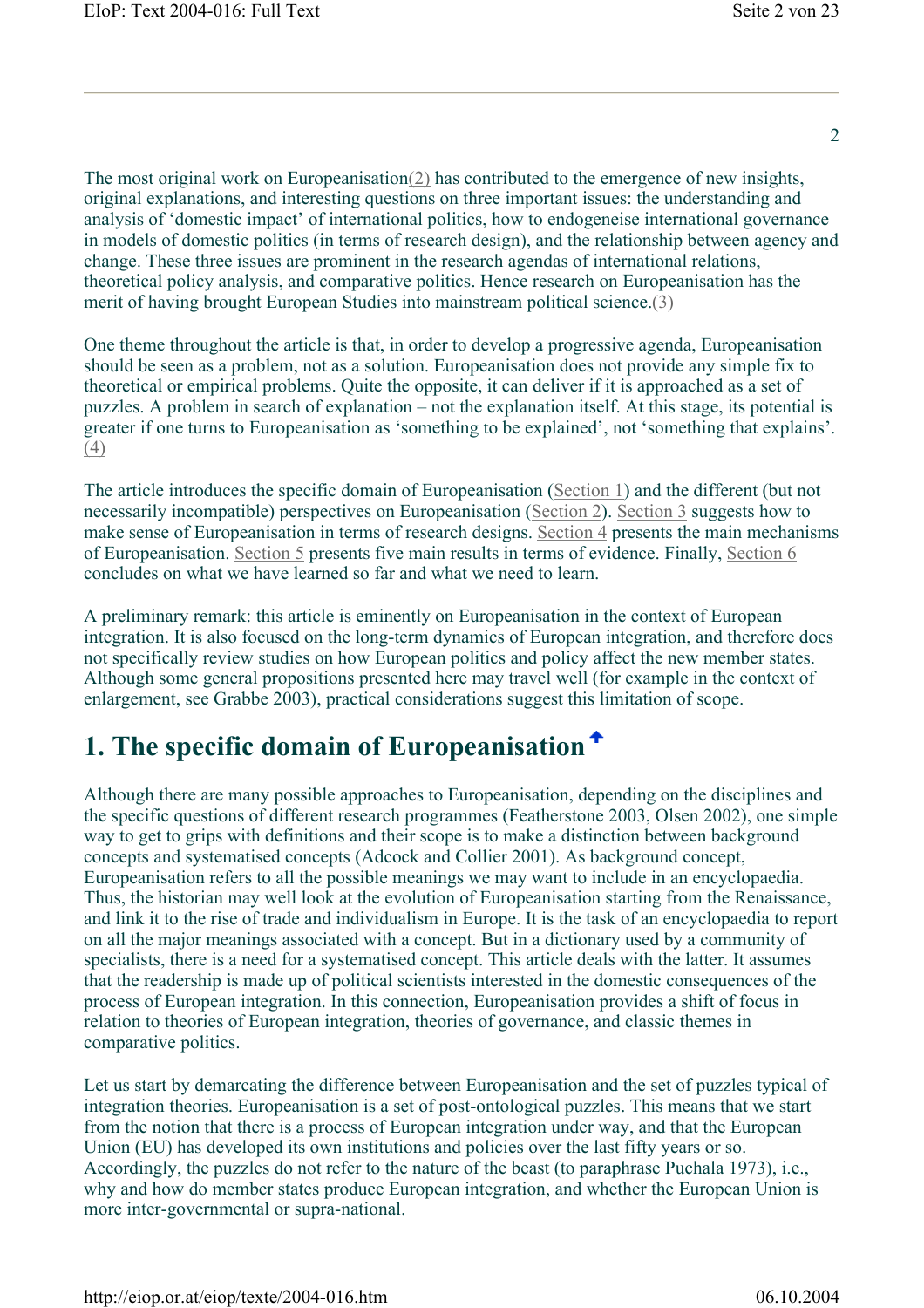$\mathcal{L}$ 

The most original work on Europeanisation(2) has contributed to the emergence of new insights, original explanations, and interesting questions on three important issues: the understanding and analysis of 'domestic impact' of international politics, how to endogeneise international governance in models of domestic politics (in terms of research design), and the relationship between agency and change. These three issues are prominent in the research agendas of international relations, theoretical policy analysis, and comparative politics. Hence research on Europeanisation has the merit of having brought European Studies into mainstream political science.(3)

One theme throughout the article is that, in order to develop a progressive agenda, Europeanisation should be seen as a problem, not as a solution. Europeanisation does not provide any simple fix to theoretical or empirical problems. Quite the opposite, it can deliver if it is approached as a set of puzzles. A problem in search of explanation – not the explanation itself. At this stage, its potential is greater if one turns to Europeanisation as 'something to be explained', not 'something that explains'. (4)

The article introduces the specific domain of Europeanisation (Section 1) and the different (but not necessarily incompatible) perspectives on Europeanisation (Section 2). Section 3 suggests how to make sense of Europeanisation in terms of research designs. Section 4 presents the main mechanisms of Europeanisation. Section 5 presents five main results in terms of evidence. Finally, Section 6 concludes on what we have learned so far and what we need to learn.

A preliminary remark: this article is eminently on Europeanisation in the context of European integration. It is also focused on the long-term dynamics of European integration, and therefore does not specifically review studies on how European politics and policy affect the new member states. Although some general propositions presented here may travel well (for example in the context of enlargement, see Grabbe 2003), practical considerations suggest this limitation of scope.

### **1. The specific domain of Europeanisation**

Although there are many possible approaches to Europeanisation, depending on the disciplines and the specific questions of different research programmes (Featherstone 2003, Olsen 2002), one simple way to get to grips with definitions and their scope is to make a distinction between background concepts and systematised concepts (Adcock and Collier 2001). As background concept, Europeanisation refers to all the possible meanings we may want to include in an encyclopaedia. Thus, the historian may well look at the evolution of Europeanisation starting from the Renaissance, and link it to the rise of trade and individualism in Europe. It is the task of an encyclopaedia to report on all the major meanings associated with a concept. But in a dictionary used by a community of specialists, there is a need for a systematised concept. This article deals with the latter. It assumes that the readership is made up of political scientists interested in the domestic consequences of the process of European integration. In this connection, Europeanisation provides a shift of focus in relation to theories of European integration, theories of governance, and classic themes in comparative politics.

Let us start by demarcating the difference between Europeanisation and the set of puzzles typical of integration theories. Europeanisation is a set of post-ontological puzzles. This means that we start from the notion that there is a process of European integration under way, and that the European Union (EU) has developed its own institutions and policies over the last fifty years or so. Accordingly, the puzzles do not refer to the nature of the beast (to paraphrase Puchala 1973), i.e., why and how do member states produce European integration, and whether the European Union is more inter-governmental or supra-national.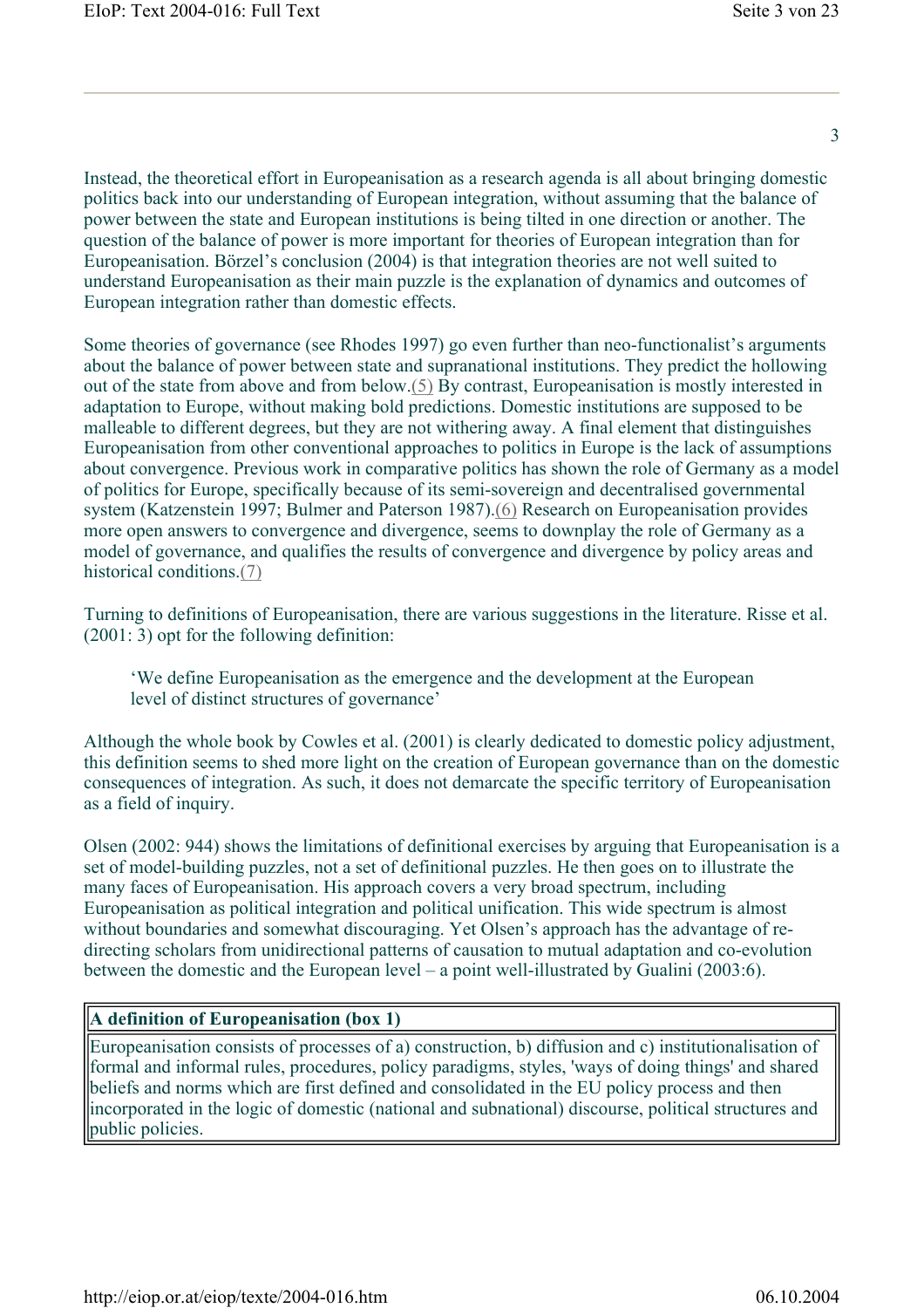Instead, the theoretical effort in Europeanisation as a research agenda is all about bringing domestic politics back into our understanding of European integration, without assuming that the balance of power between the state and European institutions is being tilted in one direction or another. The question of the balance of power is more important for theories of European integration than for Europeanisation. Börzel's conclusion (2004) is that integration theories are not well suited to understand Europeanisation as their main puzzle is the explanation of dynamics and outcomes of European integration rather than domestic effects.

Some theories of governance (see Rhodes 1997) go even further than neo-functionalist's arguments about the balance of power between state and supranational institutions. They predict the hollowing out of the state from above and from below.(5) By contrast, Europeanisation is mostly interested in adaptation to Europe, without making bold predictions. Domestic institutions are supposed to be malleable to different degrees, but they are not withering away. A final element that distinguishes Europeanisation from other conventional approaches to politics in Europe is the lack of assumptions about convergence. Previous work in comparative politics has shown the role of Germany as a model of politics for Europe, specifically because of its semi-sovereign and decentralised governmental system (Katzenstein 1997; Bulmer and Paterson 1987).(6) Research on Europeanisation provides more open answers to convergence and divergence, seems to downplay the role of Germany as a model of governance, and qualifies the results of convergence and divergence by policy areas and historical conditions (7)

Turning to definitions of Europeanisation, there are various suggestions in the literature. Risse et al. (2001: 3) opt for the following definition:

'We define Europeanisation as the emergence and the development at the European level of distinct structures of governance'

Although the whole book by Cowles et al. (2001) is clearly dedicated to domestic policy adjustment, this definition seems to shed more light on the creation of European governance than on the domestic consequences of integration. As such, it does not demarcate the specific territory of Europeanisation as a field of inquiry.

Olsen (2002: 944) shows the limitations of definitional exercises by arguing that Europeanisation is a set of model-building puzzles, not a set of definitional puzzles. He then goes on to illustrate the many faces of Europeanisation. His approach covers a very broad spectrum, including Europeanisation as political integration and political unification. This wide spectrum is almost without boundaries and somewhat discouraging. Yet Olsen's approach has the advantage of redirecting scholars from unidirectional patterns of causation to mutual adaptation and co-evolution between the domestic and the European level – a point well-illustrated by Gualini (2003:6).

#### **A definition of Europeanisation (box 1)**

Europeanisation consists of processes of a) construction, b) diffusion and c) institutionalisation of formal and informal rules, procedures, policy paradigms, styles, 'ways of doing things' and shared beliefs and norms which are first defined and consolidated in the EU policy process and then incorporated in the logic of domestic (national and subnational) discourse, political structures and public policies.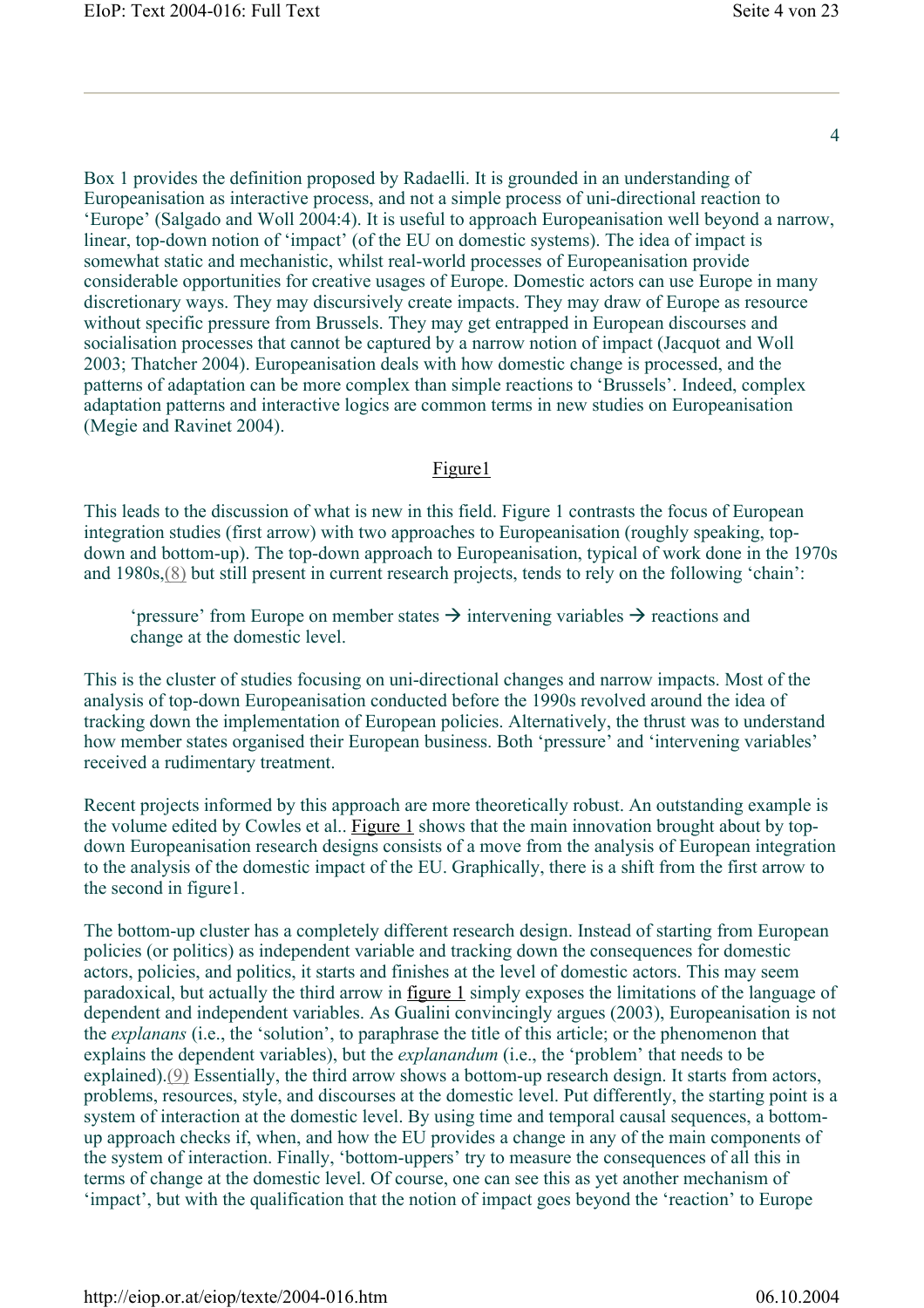Box 1 provides the definition proposed by Radaelli. It is grounded in an understanding of Europeanisation as interactive process, and not a simple process of uni-directional reaction to 'Europe' (Salgado and Woll 2004:4). It is useful to approach Europeanisation well beyond a narrow, linear, top-down notion of 'impact' (of the EU on domestic systems). The idea of impact is somewhat static and mechanistic, whilst real-world processes of Europeanisation provide considerable opportunities for creative usages of Europe. Domestic actors can use Europe in many discretionary ways. They may discursively create impacts. They may draw of Europe as resource without specific pressure from Brussels. They may get entrapped in European discourses and socialisation processes that cannot be captured by a narrow notion of impact (Jacquot and Woll 2003; Thatcher 2004). Europeanisation deals with how domestic change is processed, and the patterns of adaptation can be more complex than simple reactions to 'Brussels'. Indeed, complex adaptation patterns and interactive logics are common terms in new studies on Europeanisation (Megie and Ravinet 2004).

#### Figure1

This leads to the discussion of what is new in this field. Figure 1 contrasts the focus of European integration studies (first arrow) with two approaches to Europeanisation (roughly speaking, topdown and bottom-up). The top-down approach to Europeanisation, typical of work done in the 1970s and 1980s,(8) but still present in current research projects, tends to rely on the following 'chain':

'pressure' from Europe on member states  $\rightarrow$  intervening variables  $\rightarrow$  reactions and change at the domestic level.

This is the cluster of studies focusing on uni-directional changes and narrow impacts. Most of the analysis of top-down Europeanisation conducted before the 1990s revolved around the idea of tracking down the implementation of European policies. Alternatively, the thrust was to understand how member states organised their European business. Both 'pressure' and 'intervening variables' received a rudimentary treatment.

Recent projects informed by this approach are more theoretically robust. An outstanding example is the volume edited by Cowles et al.. Figure 1 shows that the main innovation brought about by topdown Europeanisation research designs consists of a move from the analysis of European integration to the analysis of the domestic impact of the EU. Graphically, there is a shift from the first arrow to the second in figure1.

The bottom-up cluster has a completely different research design. Instead of starting from European policies (or politics) as independent variable and tracking down the consequences for domestic actors, policies, and politics, it starts and finishes at the level of domestic actors. This may seem paradoxical, but actually the third arrow in figure 1 simply exposes the limitations of the language of dependent and independent variables. As Gualini convincingly argues (2003), Europeanisation is not the *explanans* (i.e., the 'solution', to paraphrase the title of this article; or the phenomenon that explains the dependent variables), but the *explanandum* (i.e., the 'problem' that needs to be explained).(9) Essentially, the third arrow shows a bottom-up research design. It starts from actors, problems, resources, style, and discourses at the domestic level. Put differently, the starting point is a system of interaction at the domestic level. By using time and temporal causal sequences, a bottomup approach checks if, when, and how the EU provides a change in any of the main components of the system of interaction. Finally, 'bottom-uppers' try to measure the consequences of all this in terms of change at the domestic level. Of course, one can see this as yet another mechanism of 'impact', but with the qualification that the notion of impact goes beyond the 'reaction' to Europe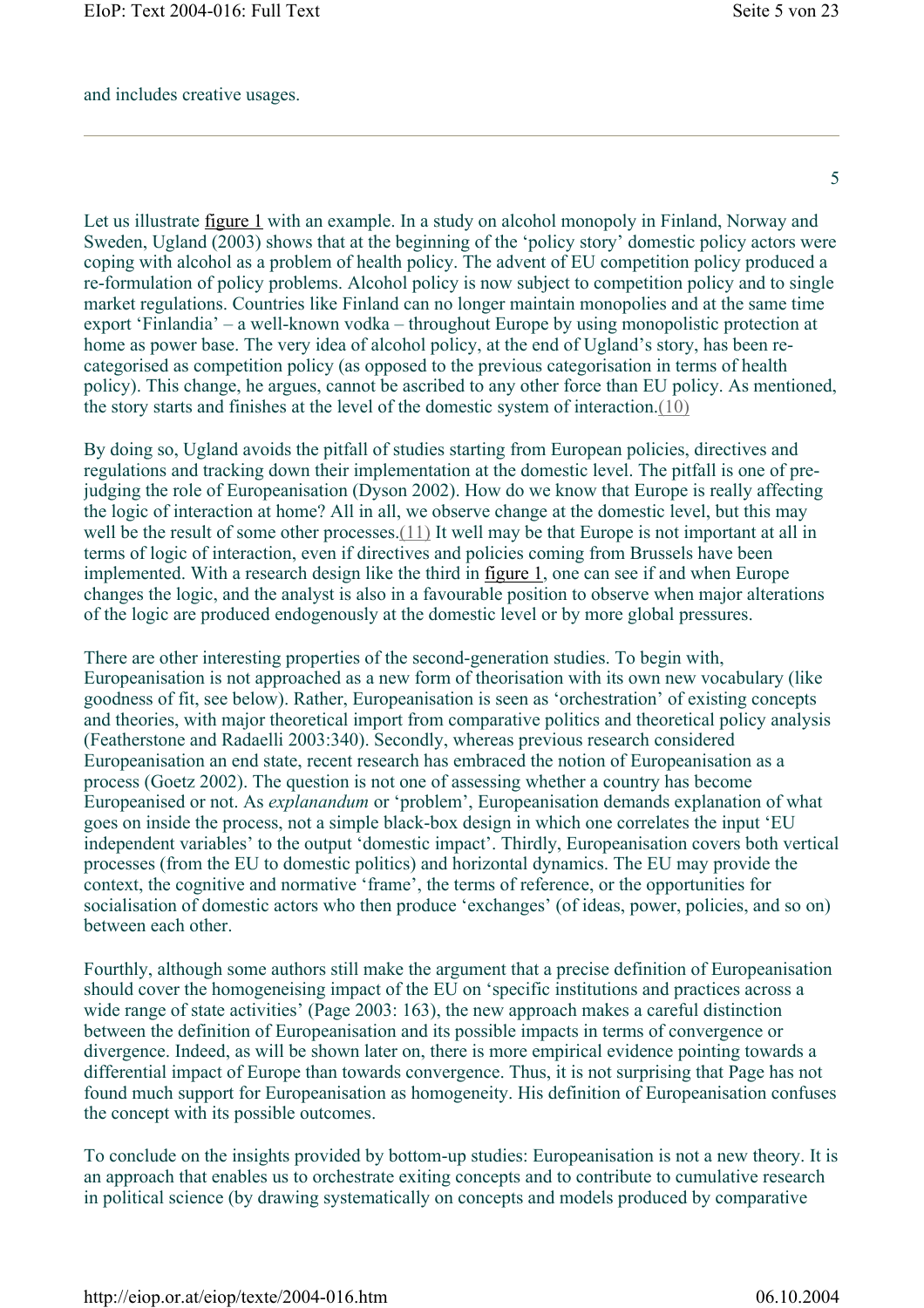and includes creative usages.

5

Let us illustrate figure 1 with an example. In a study on alcohol monopoly in Finland, Norway and Sweden, Ugland (2003) shows that at the beginning of the 'policy story' domestic policy actors were coping with alcohol as a problem of health policy. The advent of EU competition policy produced a re-formulation of policy problems. Alcohol policy is now subject to competition policy and to single market regulations. Countries like Finland can no longer maintain monopolies and at the same time export 'Finlandia' – a well-known vodka – throughout Europe by using monopolistic protection at home as power base. The very idea of alcohol policy, at the end of Ugland's story, has been recategorised as competition policy (as opposed to the previous categorisation in terms of health policy). This change, he argues, cannot be ascribed to any other force than EU policy. As mentioned, the story starts and finishes at the level of the domestic system of interaction.(10)

By doing so, Ugland avoids the pitfall of studies starting from European policies, directives and regulations and tracking down their implementation at the domestic level. The pitfall is one of prejudging the role of Europeanisation (Dyson 2002). How do we know that Europe is really affecting the logic of interaction at home? All in all, we observe change at the domestic level, but this may well be the result of some other processes.(11) It well may be that Europe is not important at all in terms of logic of interaction, even if directives and policies coming from Brussels have been implemented. With a research design like the third in figure 1, one can see if and when Europe changes the logic, and the analyst is also in a favourable position to observe when major alterations of the logic are produced endogenously at the domestic level or by more global pressures.

There are other interesting properties of the second-generation studies. To begin with, Europeanisation is not approached as a new form of theorisation with its own new vocabulary (like goodness of fit, see below). Rather, Europeanisation is seen as 'orchestration' of existing concepts and theories, with major theoretical import from comparative politics and theoretical policy analysis (Featherstone and Radaelli 2003:340). Secondly, whereas previous research considered Europeanisation an end state, recent research has embraced the notion of Europeanisation as a process (Goetz 2002). The question is not one of assessing whether a country has become Europeanised or not. As *explanandum* or 'problem', Europeanisation demands explanation of what goes on inside the process, not a simple black-box design in which one correlates the input 'EU independent variables' to the output 'domestic impact'. Thirdly, Europeanisation covers both vertical processes (from the EU to domestic politics) and horizontal dynamics. The EU may provide the context, the cognitive and normative 'frame', the terms of reference, or the opportunities for socialisation of domestic actors who then produce 'exchanges' (of ideas, power, policies, and so on) between each other.

Fourthly, although some authors still make the argument that a precise definition of Europeanisation should cover the homogeneising impact of the EU on 'specific institutions and practices across a wide range of state activities' (Page 2003: 163), the new approach makes a careful distinction between the definition of Europeanisation and its possible impacts in terms of convergence or divergence. Indeed, as will be shown later on, there is more empirical evidence pointing towards a differential impact of Europe than towards convergence. Thus, it is not surprising that Page has not found much support for Europeanisation as homogeneity. His definition of Europeanisation confuses the concept with its possible outcomes.

To conclude on the insights provided by bottom-up studies: Europeanisation is not a new theory. It is an approach that enables us to orchestrate exiting concepts and to contribute to cumulative research in political science (by drawing systematically on concepts and models produced by comparative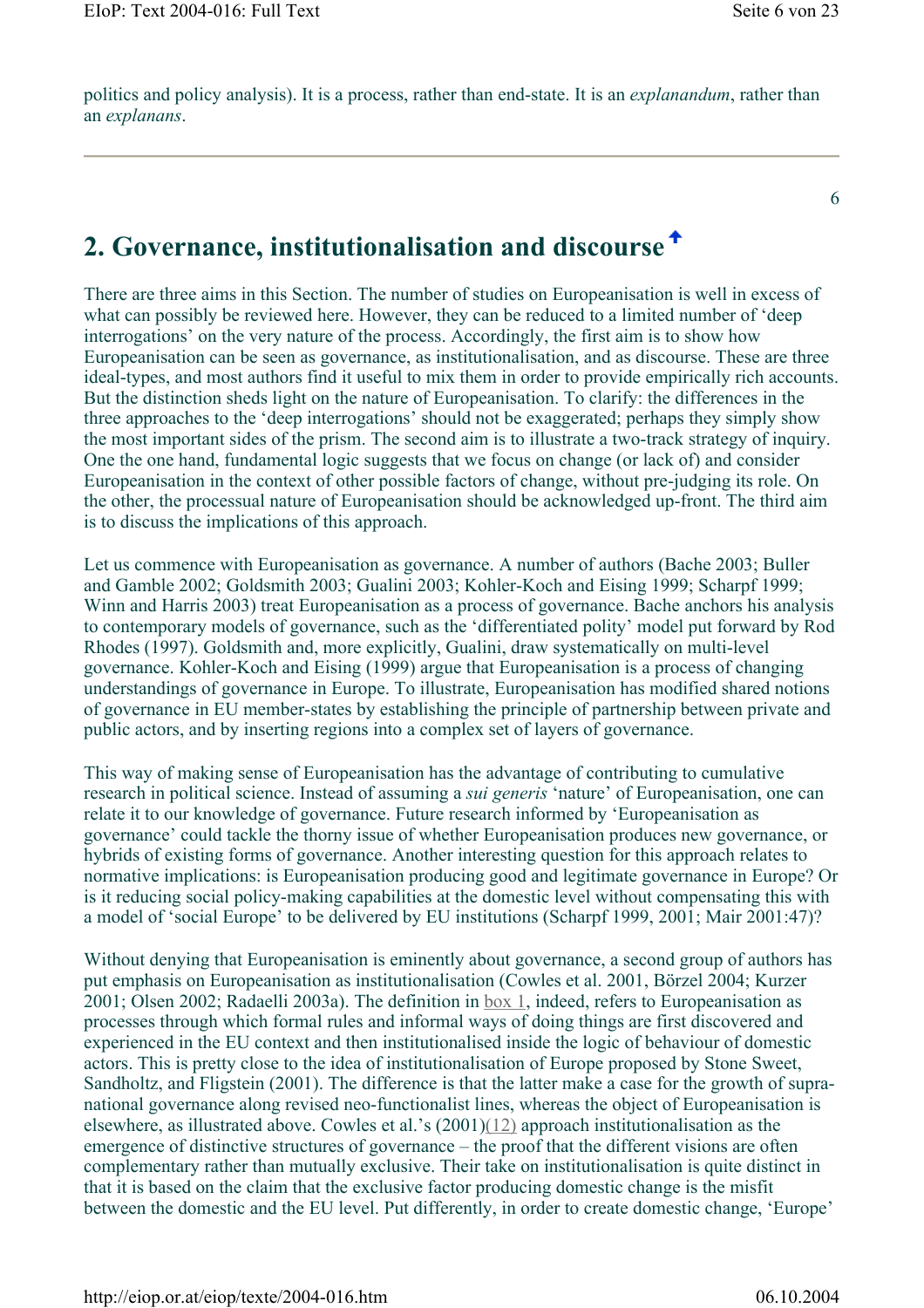politics and policy analysis). It is a process, rather than end-state. It is an *explanandum*, rather than an *explanans*.

6

### **2. Governance, institutionalisation and discourse**

There are three aims in this Section. The number of studies on Europeanisation is well in excess of what can possibly be reviewed here. However, they can be reduced to a limited number of 'deep interrogations' on the very nature of the process. Accordingly, the first aim is to show how Europeanisation can be seen as governance, as institutionalisation, and as discourse. These are three ideal-types, and most authors find it useful to mix them in order to provide empirically rich accounts. But the distinction sheds light on the nature of Europeanisation. To clarify: the differences in the three approaches to the 'deep interrogations' should not be exaggerated; perhaps they simply show the most important sides of the prism. The second aim is to illustrate a two-track strategy of inquiry. One the one hand, fundamental logic suggests that we focus on change (or lack of) and consider Europeanisation in the context of other possible factors of change, without pre-judging its role. On the other, the processual nature of Europeanisation should be acknowledged up-front. The third aim is to discuss the implications of this approach.

Let us commence with Europeanisation as governance. A number of authors (Bache 2003; Buller and Gamble 2002; Goldsmith 2003; Gualini 2003; Kohler-Koch and Eising 1999; Scharpf 1999; Winn and Harris 2003) treat Europeanisation as a process of governance. Bache anchors his analysis to contemporary models of governance, such as the 'differentiated polity' model put forward by Rod Rhodes (1997). Goldsmith and, more explicitly, Gualini, draw systematically on multi-level governance. Kohler-Koch and Eising (1999) argue that Europeanisation is a process of changing understandings of governance in Europe. To illustrate, Europeanisation has modified shared notions of governance in EU member-states by establishing the principle of partnership between private and public actors, and by inserting regions into a complex set of layers of governance.

This way of making sense of Europeanisation has the advantage of contributing to cumulative research in political science. Instead of assuming a *sui generis* 'nature' of Europeanisation, one can relate it to our knowledge of governance. Future research informed by 'Europeanisation as governance' could tackle the thorny issue of whether Europeanisation produces new governance, or hybrids of existing forms of governance. Another interesting question for this approach relates to normative implications: is Europeanisation producing good and legitimate governance in Europe? Or is it reducing social policy-making capabilities at the domestic level without compensating this with a model of 'social Europe' to be delivered by EU institutions (Scharpf 1999, 2001; Mair 2001:47)?

Without denying that Europeanisation is eminently about governance, a second group of authors has put emphasis on Europeanisation as institutionalisation (Cowles et al. 2001, Börzel 2004; Kurzer 2001; Olsen 2002; Radaelli 2003a). The definition in box 1, indeed, refers to Europeanisation as processes through which formal rules and informal ways of doing things are first discovered and experienced in the EU context and then institutionalised inside the logic of behaviour of domestic actors. This is pretty close to the idea of institutionalisation of Europe proposed by Stone Sweet, Sandholtz, and Fligstein (2001). The difference is that the latter make a case for the growth of supranational governance along revised neo-functionalist lines, whereas the object of Europeanisation is elsewhere, as illustrated above. Cowles et al.'s (2001)(12) approach institutionalisation as the emergence of distinctive structures of governance – the proof that the different visions are often complementary rather than mutually exclusive. Their take on institutionalisation is quite distinct in that it is based on the claim that the exclusive factor producing domestic change is the misfit between the domestic and the EU level. Put differently, in order to create domestic change, 'Europe'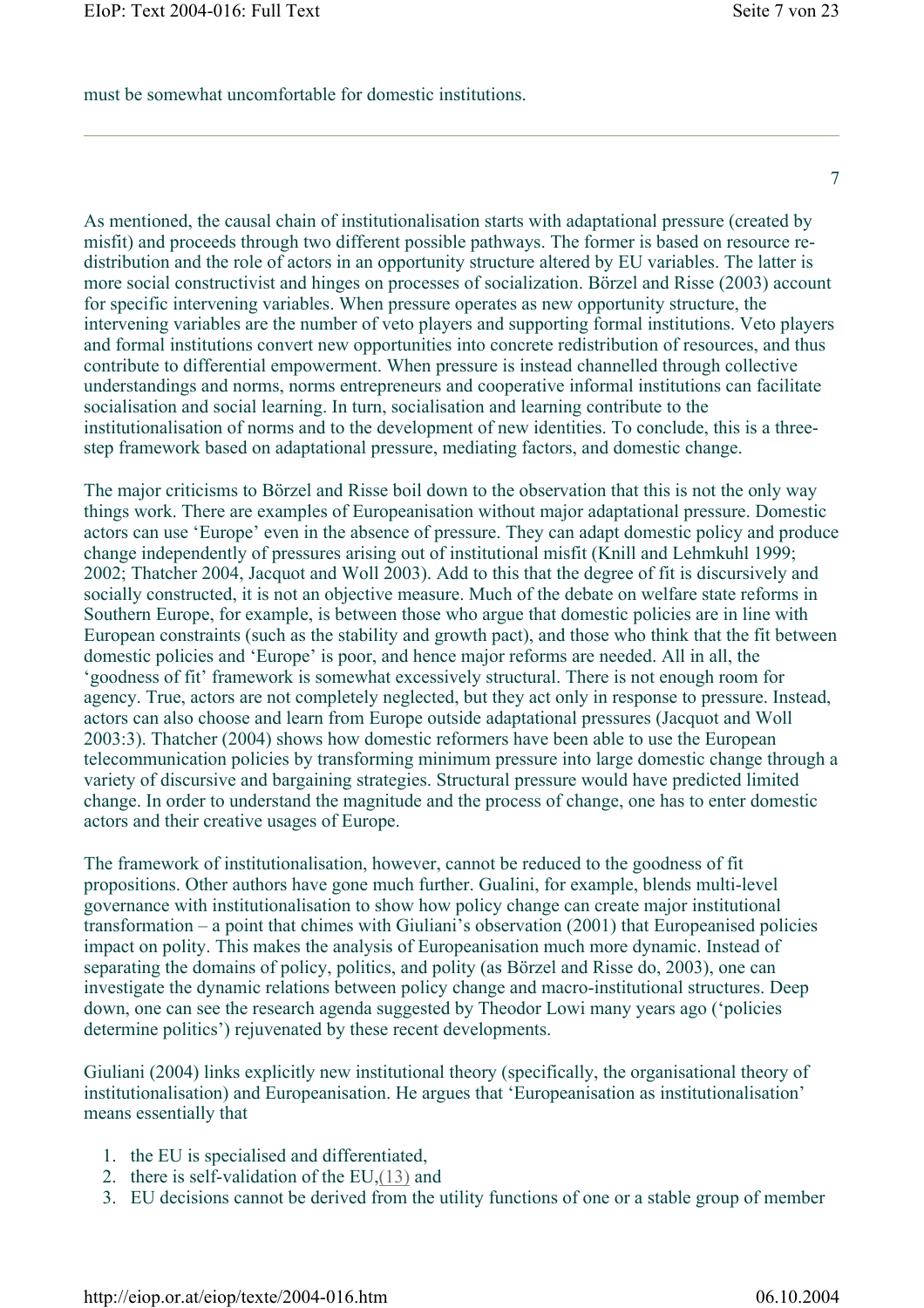must be somewhat uncomfortable for domestic institutions.

7

As mentioned, the causal chain of institutionalisation starts with adaptational pressure (created by misfit) and proceeds through two different possible pathways. The former is based on resource redistribution and the role of actors in an opportunity structure altered by EU variables. The latter is more social constructivist and hinges on processes of socialization. Börzel and Risse (2003) account for specific intervening variables. When pressure operates as new opportunity structure, the intervening variables are the number of veto players and supporting formal institutions. Veto players and formal institutions convert new opportunities into concrete redistribution of resources, and thus contribute to differential empowerment. When pressure is instead channelled through collective understandings and norms, norms entrepreneurs and cooperative informal institutions can facilitate socialisation and social learning. In turn, socialisation and learning contribute to the institutionalisation of norms and to the development of new identities. To conclude, this is a threestep framework based on adaptational pressure, mediating factors, and domestic change.

The major criticisms to Börzel and Risse boil down to the observation that this is not the only way things work. There are examples of Europeanisation without major adaptational pressure. Domestic actors can use 'Europe' even in the absence of pressure. They can adapt domestic policy and produce change independently of pressures arising out of institutional misfit (Knill and Lehmkuhl 1999; 2002; Thatcher 2004, Jacquot and Woll 2003). Add to this that the degree of fit is discursively and socially constructed, it is not an objective measure. Much of the debate on welfare state reforms in Southern Europe, for example, is between those who argue that domestic policies are in line with European constraints (such as the stability and growth pact), and those who think that the fit between domestic policies and 'Europe' is poor, and hence major reforms are needed. All in all, the 'goodness of fit' framework is somewhat excessively structural. There is not enough room for agency. True, actors are not completely neglected, but they act only in response to pressure. Instead, actors can also choose and learn from Europe outside adaptational pressures (Jacquot and Woll 2003:3). Thatcher (2004) shows how domestic reformers have been able to use the European telecommunication policies by transforming minimum pressure into large domestic change through a variety of discursive and bargaining strategies. Structural pressure would have predicted limited change. In order to understand the magnitude and the process of change, one has to enter domestic actors and their creative usages of Europe.

The framework of institutionalisation, however, cannot be reduced to the goodness of fit propositions. Other authors have gone much further. Gualini, for example, blends multi-level governance with institutionalisation to show how policy change can create major institutional transformation – a point that chimes with Giuliani's observation (2001) that Europeanised policies impact on polity. This makes the analysis of Europeanisation much more dynamic. Instead of separating the domains of policy, politics, and polity (as Börzel and Risse do, 2003), one can investigate the dynamic relations between policy change and macro-institutional structures. Deep down, one can see the research agenda suggested by Theodor Lowi many years ago ('policies determine politics') rejuvenated by these recent developments.

Giuliani (2004) links explicitly new institutional theory (specifically, the organisational theory of institutionalisation) and Europeanisation. He argues that 'Europeanisation as institutionalisation' means essentially that

- 1. the EU is specialised and differentiated,
- 2. there is self-validation of the EU,(13) and
- 3. EU decisions cannot be derived from the utility functions of one or a stable group of member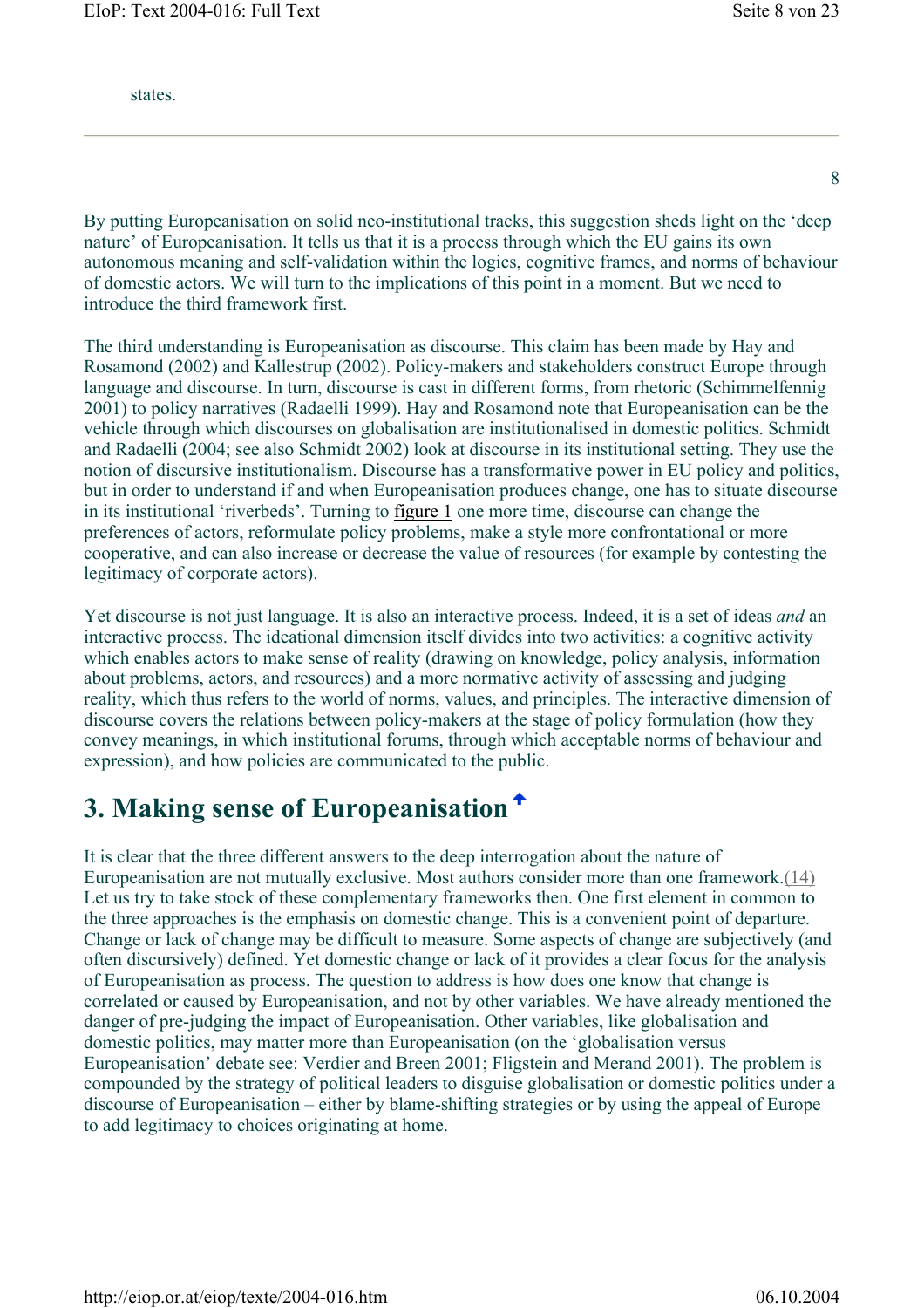states.

By putting Europeanisation on solid neo-institutional tracks, this suggestion sheds light on the 'deep nature' of Europeanisation. It tells us that it is a process through which the EU gains its own autonomous meaning and self-validation within the logics, cognitive frames, and norms of behaviour of domestic actors. We will turn to the implications of this point in a moment. But we need to introduce the third framework first.

The third understanding is Europeanisation as discourse. This claim has been made by Hay and Rosamond (2002) and Kallestrup (2002). Policy-makers and stakeholders construct Europe through language and discourse. In turn, discourse is cast in different forms, from rhetoric (Schimmelfennig 2001) to policy narratives (Radaelli 1999). Hay and Rosamond note that Europeanisation can be the vehicle through which discourses on globalisation are institutionalised in domestic politics. Schmidt and Radaelli (2004; see also Schmidt 2002) look at discourse in its institutional setting. They use the notion of discursive institutionalism. Discourse has a transformative power in EU policy and politics, but in order to understand if and when Europeanisation produces change, one has to situate discourse in its institutional 'riverbeds'. Turning to figure 1 one more time, discourse can change the preferences of actors, reformulate policy problems, make a style more confrontational or more cooperative, and can also increase or decrease the value of resources (for example by contesting the legitimacy of corporate actors).

Yet discourse is not just language. It is also an interactive process. Indeed, it is a set of ideas *and* an interactive process. The ideational dimension itself divides into two activities: a cognitive activity which enables actors to make sense of reality (drawing on knowledge, policy analysis, information about problems, actors, and resources) and a more normative activity of assessing and judging reality, which thus refers to the world of norms, values, and principles. The interactive dimension of discourse covers the relations between policy-makers at the stage of policy formulation (how they convey meanings, in which institutional forums, through which acceptable norms of behaviour and expression), and how policies are communicated to the public.

# **3. Making sense of Europeanisation**

It is clear that the three different answers to the deep interrogation about the nature of Europeanisation are not mutually exclusive. Most authors consider more than one framework.(14) Let us try to take stock of these complementary frameworks then. One first element in common to the three approaches is the emphasis on domestic change. This is a convenient point of departure. Change or lack of change may be difficult to measure. Some aspects of change are subjectively (and often discursively) defined. Yet domestic change or lack of it provides a clear focus for the analysis of Europeanisation as process. The question to address is how does one know that change is correlated or caused by Europeanisation, and not by other variables. We have already mentioned the danger of pre-judging the impact of Europeanisation. Other variables, like globalisation and domestic politics, may matter more than Europeanisation (on the 'globalisation versus Europeanisation' debate see: Verdier and Breen 2001; Fligstein and Merand 2001). The problem is compounded by the strategy of political leaders to disguise globalisation or domestic politics under a discourse of Europeanisation – either by blame-shifting strategies or by using the appeal of Europe to add legitimacy to choices originating at home.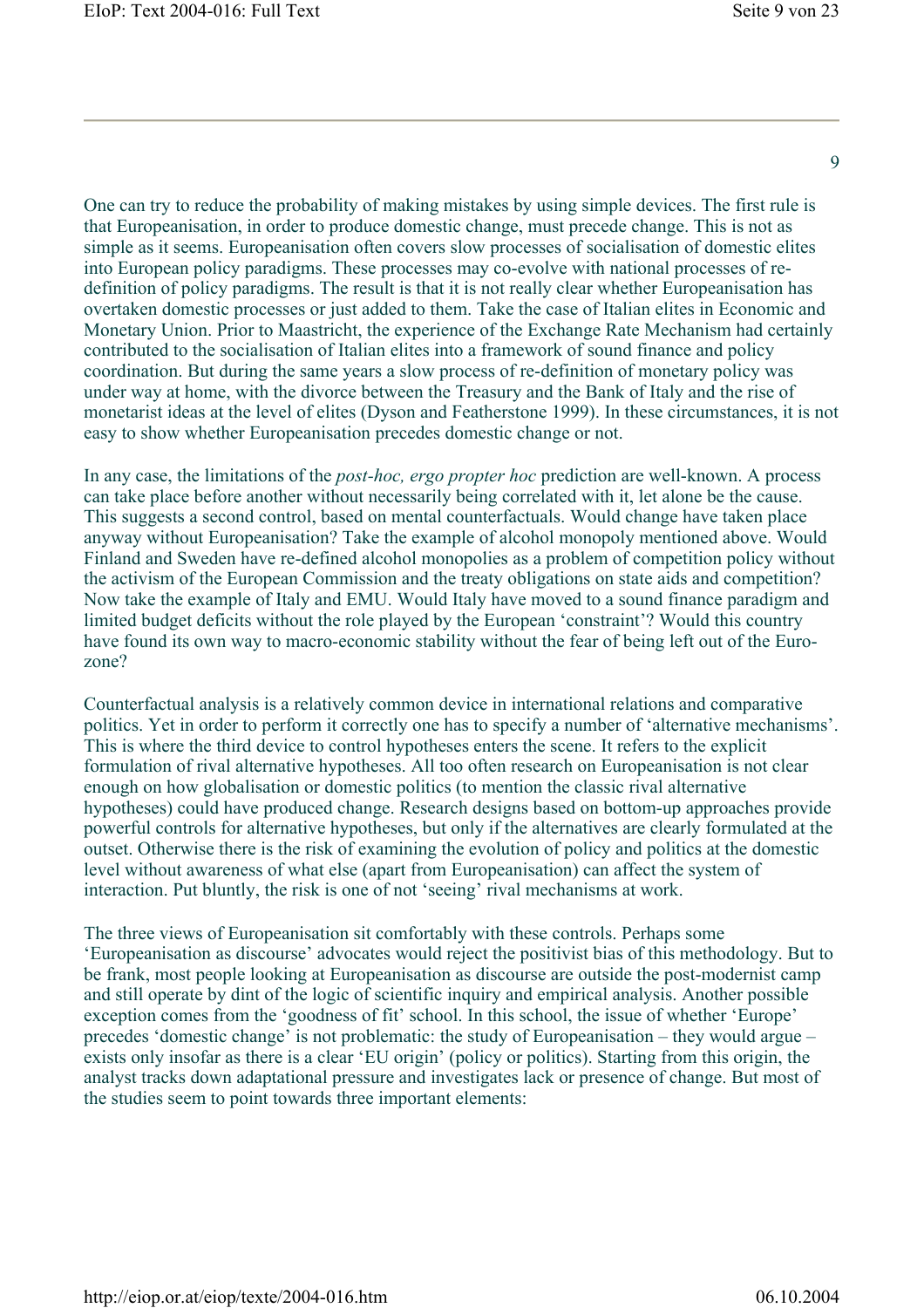One can try to reduce the probability of making mistakes by using simple devices. The first rule is that Europeanisation, in order to produce domestic change, must precede change. This is not as simple as it seems. Europeanisation often covers slow processes of socialisation of domestic elites into European policy paradigms. These processes may co-evolve with national processes of redefinition of policy paradigms. The result is that it is not really clear whether Europeanisation has overtaken domestic processes or just added to them. Take the case of Italian elites in Economic and Monetary Union. Prior to Maastricht, the experience of the Exchange Rate Mechanism had certainly contributed to the socialisation of Italian elites into a framework of sound finance and policy coordination. But during the same years a slow process of re-definition of monetary policy was under way at home, with the divorce between the Treasury and the Bank of Italy and the rise of monetarist ideas at the level of elites (Dyson and Featherstone 1999). In these circumstances, it is not easy to show whether Europeanisation precedes domestic change or not.

In any case, the limitations of the *post-hoc, ergo propter hoc* prediction are well-known. A process can take place before another without necessarily being correlated with it, let alone be the cause. This suggests a second control, based on mental counterfactuals. Would change have taken place anyway without Europeanisation? Take the example of alcohol monopoly mentioned above. Would Finland and Sweden have re-defined alcohol monopolies as a problem of competition policy without the activism of the European Commission and the treaty obligations on state aids and competition? Now take the example of Italy and EMU. Would Italy have moved to a sound finance paradigm and limited budget deficits without the role played by the European 'constraint'? Would this country have found its own way to macro-economic stability without the fear of being left out of the Eurozone?

Counterfactual analysis is a relatively common device in international relations and comparative politics. Yet in order to perform it correctly one has to specify a number of 'alternative mechanisms'. This is where the third device to control hypotheses enters the scene. It refers to the explicit formulation of rival alternative hypotheses. All too often research on Europeanisation is not clear enough on how globalisation or domestic politics (to mention the classic rival alternative hypotheses) could have produced change. Research designs based on bottom-up approaches provide powerful controls for alternative hypotheses, but only if the alternatives are clearly formulated at the outset. Otherwise there is the risk of examining the evolution of policy and politics at the domestic level without awareness of what else (apart from Europeanisation) can affect the system of interaction. Put bluntly, the risk is one of not 'seeing' rival mechanisms at work.

The three views of Europeanisation sit comfortably with these controls. Perhaps some 'Europeanisation as discourse' advocates would reject the positivist bias of this methodology. But to be frank, most people looking at Europeanisation as discourse are outside the post-modernist camp and still operate by dint of the logic of scientific inquiry and empirical analysis. Another possible exception comes from the 'goodness of fit' school. In this school, the issue of whether 'Europe' precedes 'domestic change' is not problematic: the study of Europeanisation – they would argue – exists only insofar as there is a clear 'EU origin' (policy or politics). Starting from this origin, the analyst tracks down adaptational pressure and investigates lack or presence of change. But most of the studies seem to point towards three important elements: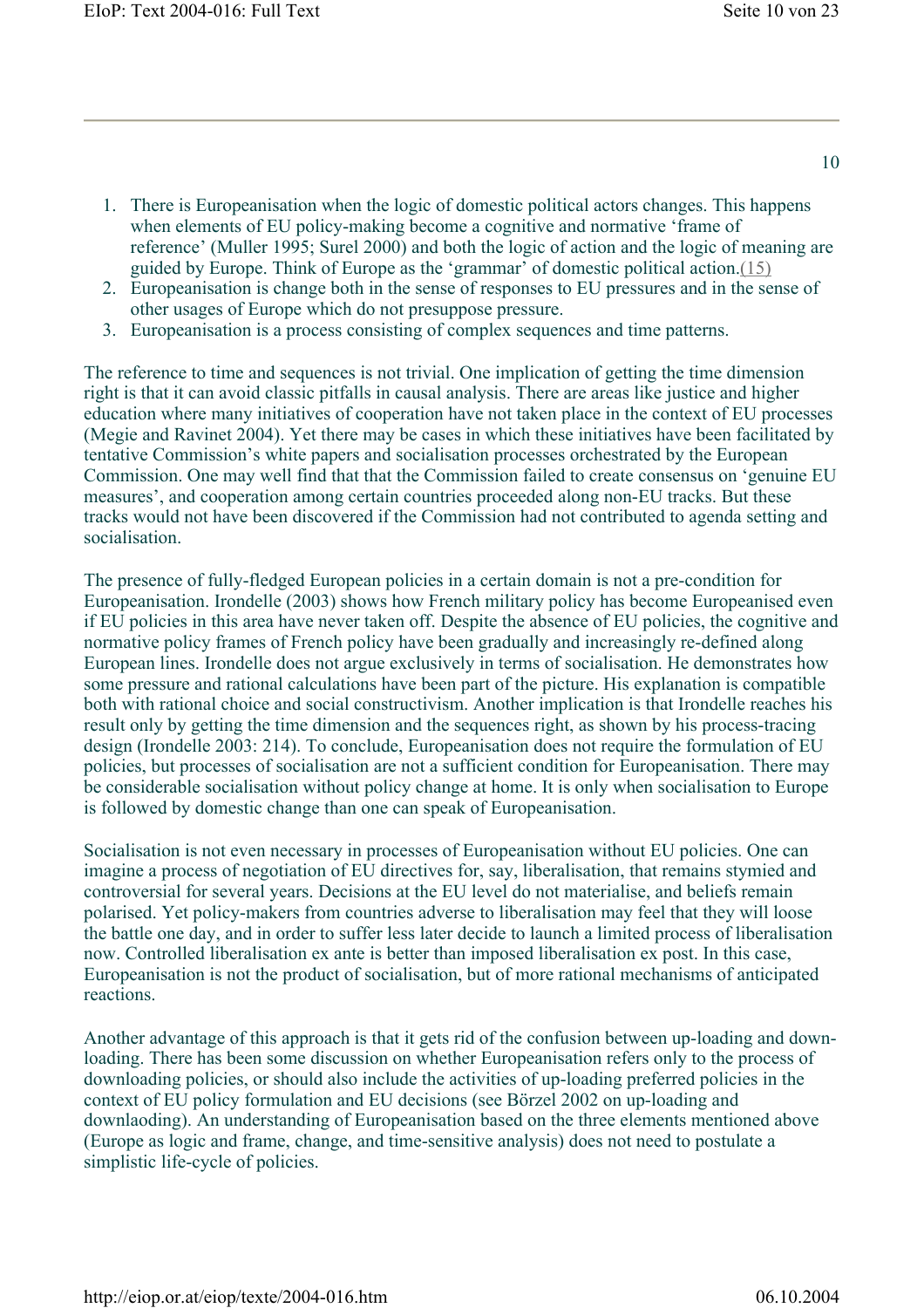- 1. There is Europeanisation when the logic of domestic political actors changes. This happens when elements of EU policy-making become a cognitive and normative 'frame of reference' (Muller 1995; Surel 2000) and both the logic of action and the logic of meaning are guided by Europe. Think of Europe as the 'grammar' of domestic political action.(15)
- 2. Europeanisation is change both in the sense of responses to EU pressures and in the sense of other usages of Europe which do not presuppose pressure.
- 3. Europeanisation is a process consisting of complex sequences and time patterns.

The reference to time and sequences is not trivial. One implication of getting the time dimension right is that it can avoid classic pitfalls in causal analysis. There are areas like justice and higher education where many initiatives of cooperation have not taken place in the context of EU processes (Megie and Ravinet 2004). Yet there may be cases in which these initiatives have been facilitated by tentative Commission's white papers and socialisation processes orchestrated by the European Commission. One may well find that that the Commission failed to create consensus on 'genuine EU measures', and cooperation among certain countries proceeded along non-EU tracks. But these tracks would not have been discovered if the Commission had not contributed to agenda setting and socialisation.

The presence of fully-fledged European policies in a certain domain is not a pre-condition for Europeanisation. Irondelle (2003) shows how French military policy has become Europeanised even if EU policies in this area have never taken off. Despite the absence of EU policies, the cognitive and normative policy frames of French policy have been gradually and increasingly re-defined along European lines. Irondelle does not argue exclusively in terms of socialisation. He demonstrates how some pressure and rational calculations have been part of the picture. His explanation is compatible both with rational choice and social constructivism. Another implication is that Irondelle reaches his result only by getting the time dimension and the sequences right, as shown by his process-tracing design (Irondelle 2003: 214). To conclude, Europeanisation does not require the formulation of EU policies, but processes of socialisation are not a sufficient condition for Europeanisation. There may be considerable socialisation without policy change at home. It is only when socialisation to Europe is followed by domestic change than one can speak of Europeanisation.

Socialisation is not even necessary in processes of Europeanisation without EU policies. One can imagine a process of negotiation of EU directives for, say, liberalisation, that remains stymied and controversial for several years. Decisions at the EU level do not materialise, and beliefs remain polarised. Yet policy-makers from countries adverse to liberalisation may feel that they will loose the battle one day, and in order to suffer less later decide to launch a limited process of liberalisation now. Controlled liberalisation ex ante is better than imposed liberalisation ex post. In this case, Europeanisation is not the product of socialisation, but of more rational mechanisms of anticipated reactions.

Another advantage of this approach is that it gets rid of the confusion between up-loading and downloading. There has been some discussion on whether Europeanisation refers only to the process of downloading policies, or should also include the activities of up-loading preferred policies in the context of EU policy formulation and EU decisions (see Börzel 2002 on up-loading and downlaoding). An understanding of Europeanisation based on the three elements mentioned above (Europe as logic and frame, change, and time-sensitive analysis) does not need to postulate a simplistic life-cycle of policies.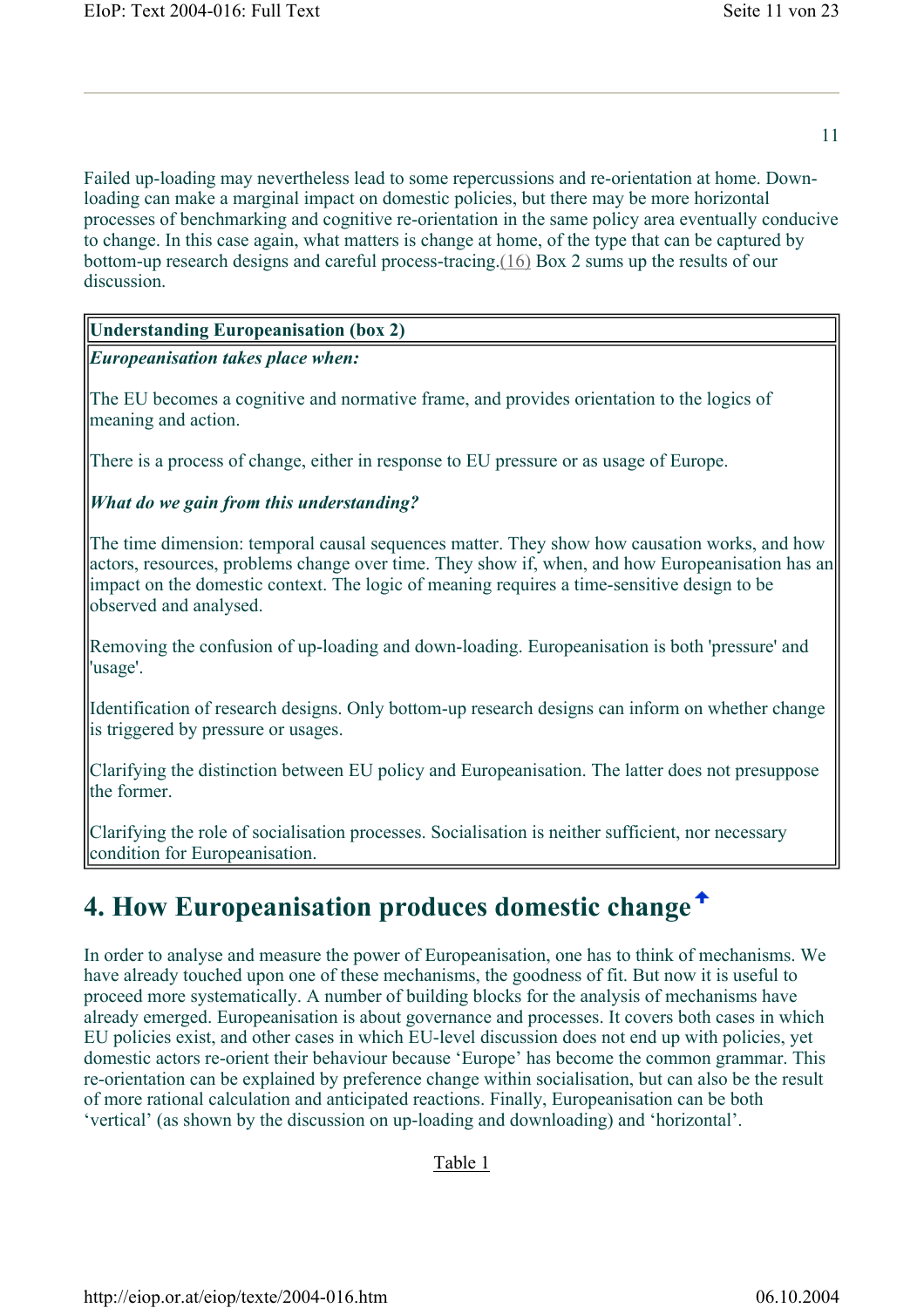Failed up-loading may nevertheless lead to some repercussions and re-orientation at home. Downloading can make a marginal impact on domestic policies, but there may be more horizontal processes of benchmarking and cognitive re-orientation in the same policy area eventually conducive to change. In this case again, what matters is change at home, of the type that can be captured by bottom-up research designs and careful process-tracing.(16) Box 2 sums up the results of our discussion.

#### **Understanding Europeanisation (box 2)**

*Europeanisation takes place when:* 

The EU becomes a cognitive and normative frame, and provides orientation to the logics of meaning and action.

There is a process of change, either in response to EU pressure or as usage of Europe.

#### *What do we gain from this understanding?*

The time dimension: temporal causal sequences matter. They show how causation works, and how actors, resources, problems change over time. They show if, when, and how Europeanisation has an impact on the domestic context. The logic of meaning requires a time-sensitive design to be observed and analysed.

Removing the confusion of up-loading and down-loading. Europeanisation is both 'pressure' and 'usage'.

Identification of research designs. Only bottom-up research designs can inform on whether change is triggered by pressure or usages.

Clarifying the distinction between EU policy and Europeanisation. The latter does not presuppose the former.

Clarifying the role of socialisation processes. Socialisation is neither sufficient, nor necessary condition for Europeanisation.

# **4. How Europeanisation produces domestic change**

In order to analyse and measure the power of Europeanisation, one has to think of mechanisms. We have already touched upon one of these mechanisms, the goodness of fit. But now it is useful to proceed more systematically. A number of building blocks for the analysis of mechanisms have already emerged. Europeanisation is about governance and processes. It covers both cases in which EU policies exist, and other cases in which EU-level discussion does not end up with policies, yet domestic actors re-orient their behaviour because 'Europe' has become the common grammar. This re-orientation can be explained by preference change within socialisation, but can also be the result of more rational calculation and anticipated reactions. Finally, Europeanisation can be both 'vertical' (as shown by the discussion on up-loading and downloading) and 'horizontal'.

#### Table 1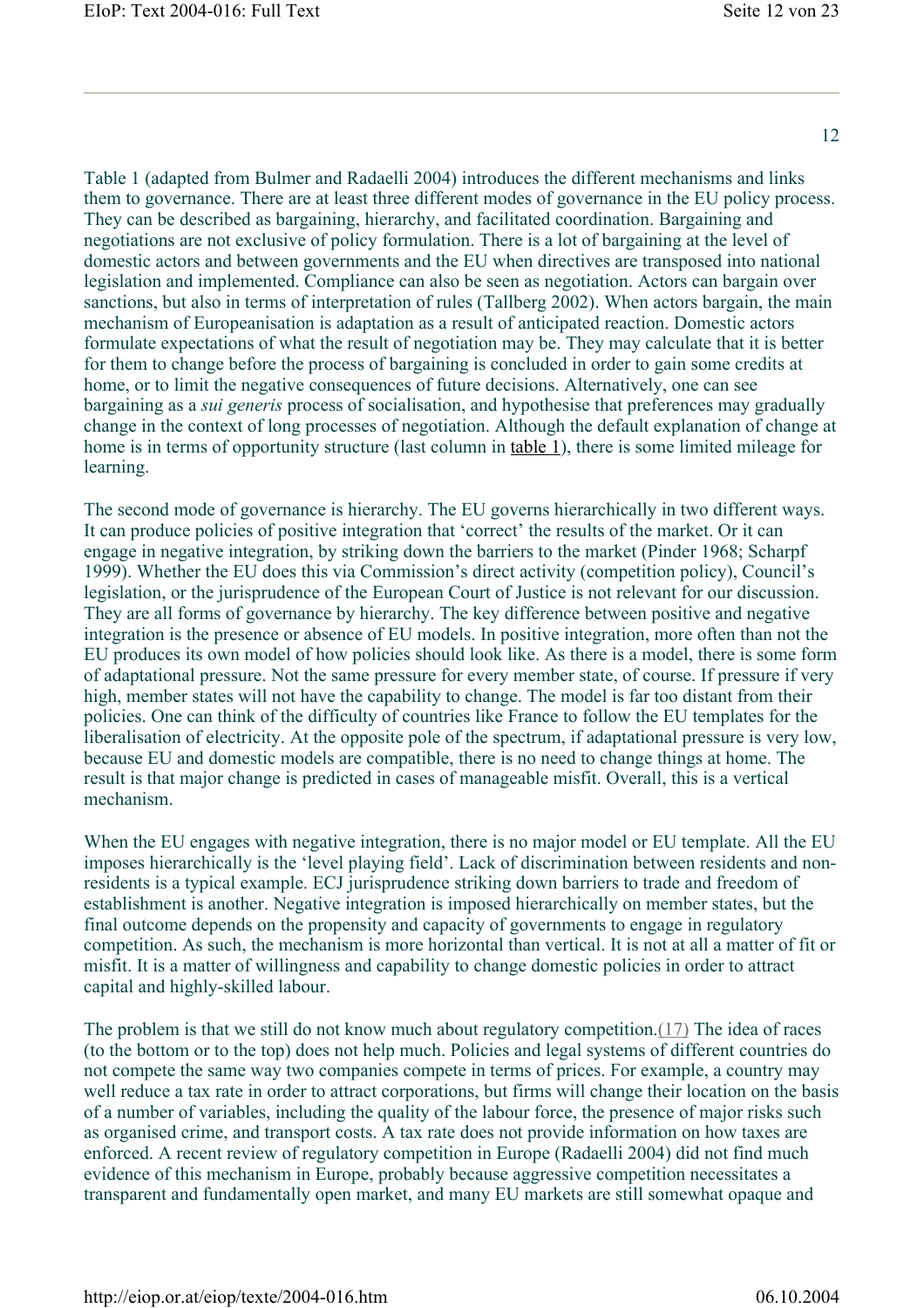Table 1 (adapted from Bulmer and Radaelli 2004) introduces the different mechanisms and links them to governance. There are at least three different modes of governance in the EU policy process. They can be described as bargaining, hierarchy, and facilitated coordination. Bargaining and negotiations are not exclusive of policy formulation. There is a lot of bargaining at the level of domestic actors and between governments and the EU when directives are transposed into national legislation and implemented. Compliance can also be seen as negotiation. Actors can bargain over sanctions, but also in terms of interpretation of rules (Tallberg 2002). When actors bargain, the main mechanism of Europeanisation is adaptation as a result of anticipated reaction. Domestic actors formulate expectations of what the result of negotiation may be. They may calculate that it is better for them to change before the process of bargaining is concluded in order to gain some credits at home, or to limit the negative consequences of future decisions. Alternatively, one can see bargaining as a *sui generis* process of socialisation, and hypothesise that preferences may gradually change in the context of long processes of negotiation. Although the default explanation of change at home is in terms of opportunity structure (last column in table 1), there is some limited mileage for learning.

The second mode of governance is hierarchy. The EU governs hierarchically in two different ways. It can produce policies of positive integration that 'correct' the results of the market. Or it can engage in negative integration, by striking down the barriers to the market (Pinder 1968; Scharpf 1999). Whether the EU does this via Commission's direct activity (competition policy), Council's legislation, or the jurisprudence of the European Court of Justice is not relevant for our discussion. They are all forms of governance by hierarchy. The key difference between positive and negative integration is the presence or absence of EU models. In positive integration, more often than not the EU produces its own model of how policies should look like. As there is a model, there is some form of adaptational pressure. Not the same pressure for every member state, of course. If pressure if very high, member states will not have the capability to change. The model is far too distant from their policies. One can think of the difficulty of countries like France to follow the EU templates for the liberalisation of electricity. At the opposite pole of the spectrum, if adaptational pressure is very low, because EU and domestic models are compatible, there is no need to change things at home. The result is that major change is predicted in cases of manageable misfit. Overall, this is a vertical mechanism.

When the EU engages with negative integration, there is no major model or EU template. All the EU imposes hierarchically is the 'level playing field'. Lack of discrimination between residents and nonresidents is a typical example. ECJ jurisprudence striking down barriers to trade and freedom of establishment is another. Negative integration is imposed hierarchically on member states, but the final outcome depends on the propensity and capacity of governments to engage in regulatory competition. As such, the mechanism is more horizontal than vertical. It is not at all a matter of fit or misfit. It is a matter of willingness and capability to change domestic policies in order to attract capital and highly-skilled labour.

The problem is that we still do not know much about regulatory competition.(17) The idea of races (to the bottom or to the top) does not help much. Policies and legal systems of different countries do not compete the same way two companies compete in terms of prices. For example, a country may well reduce a tax rate in order to attract corporations, but firms will change their location on the basis of a number of variables, including the quality of the labour force, the presence of major risks such as organised crime, and transport costs. A tax rate does not provide information on how taxes are enforced. A recent review of regulatory competition in Europe (Radaelli 2004) did not find much evidence of this mechanism in Europe, probably because aggressive competition necessitates a transparent and fundamentally open market, and many EU markets are still somewhat opaque and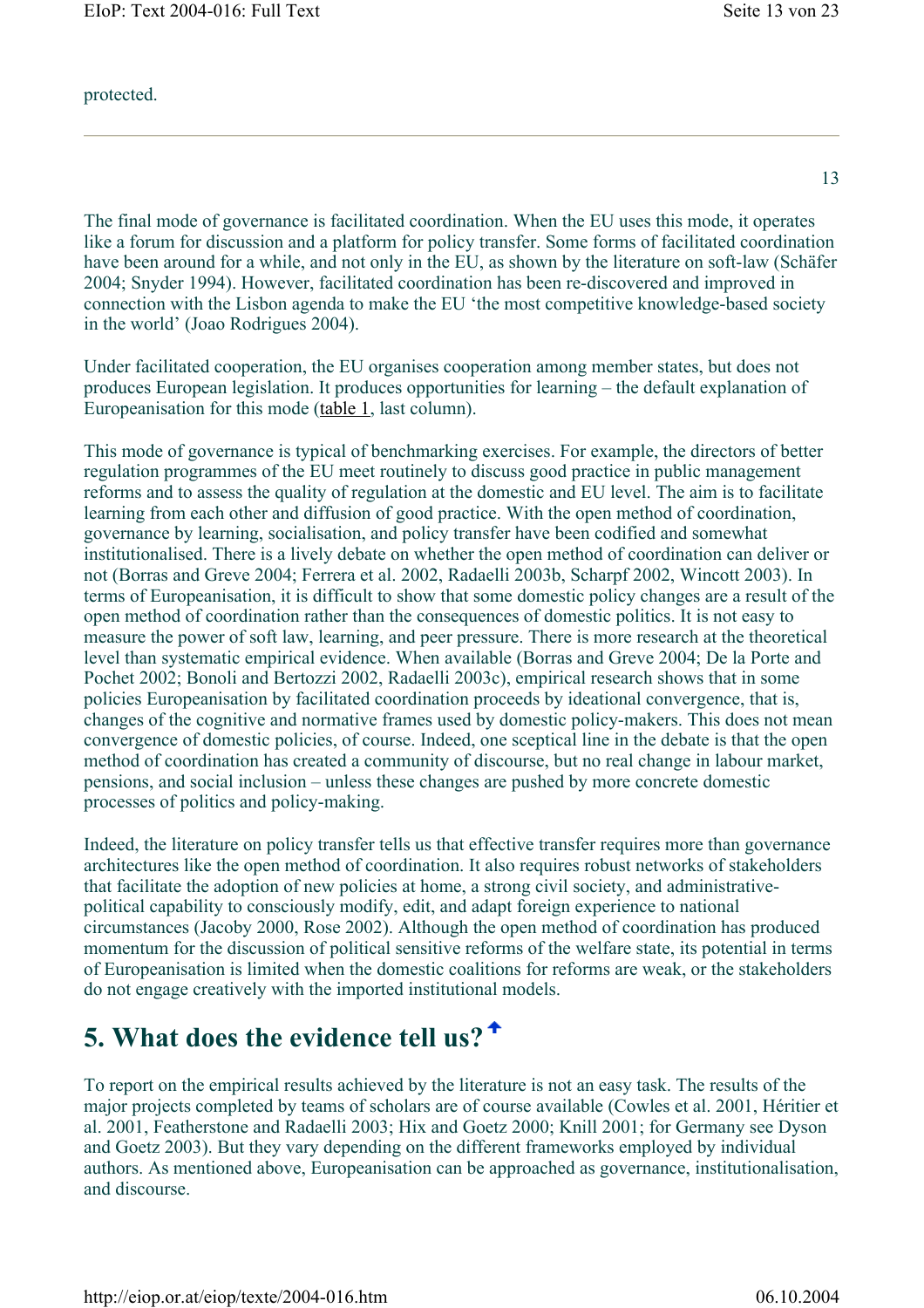protected.

13

The final mode of governance is facilitated coordination. When the EU uses this mode, it operates like a forum for discussion and a platform for policy transfer. Some forms of facilitated coordination have been around for a while, and not only in the EU, as shown by the literature on soft-law (Schäfer 2004; Snyder 1994). However, facilitated coordination has been re-discovered and improved in connection with the Lisbon agenda to make the EU 'the most competitive knowledge-based society in the world' (Joao Rodrigues 2004).

Under facilitated cooperation, the EU organises cooperation among member states, but does not produces European legislation. It produces opportunities for learning – the default explanation of Europeanisation for this mode (table 1, last column).

This mode of governance is typical of benchmarking exercises. For example, the directors of better regulation programmes of the EU meet routinely to discuss good practice in public management reforms and to assess the quality of regulation at the domestic and EU level. The aim is to facilitate learning from each other and diffusion of good practice. With the open method of coordination, governance by learning, socialisation, and policy transfer have been codified and somewhat institutionalised. There is a lively debate on whether the open method of coordination can deliver or not (Borras and Greve 2004; Ferrera et al. 2002, Radaelli 2003b, Scharpf 2002, Wincott 2003). In terms of Europeanisation, it is difficult to show that some domestic policy changes are a result of the open method of coordination rather than the consequences of domestic politics. It is not easy to measure the power of soft law, learning, and peer pressure. There is more research at the theoretical level than systematic empirical evidence. When available (Borras and Greve 2004; De la Porte and Pochet 2002; Bonoli and Bertozzi 2002, Radaelli 2003c), empirical research shows that in some policies Europeanisation by facilitated coordination proceeds by ideational convergence, that is, changes of the cognitive and normative frames used by domestic policy-makers. This does not mean convergence of domestic policies, of course. Indeed, one sceptical line in the debate is that the open method of coordination has created a community of discourse, but no real change in labour market, pensions, and social inclusion – unless these changes are pushed by more concrete domestic processes of politics and policy-making.

Indeed, the literature on policy transfer tells us that effective transfer requires more than governance architectures like the open method of coordination. It also requires robust networks of stakeholders that facilitate the adoption of new policies at home, a strong civil society, and administrativepolitical capability to consciously modify, edit, and adapt foreign experience to national circumstances (Jacoby 2000, Rose 2002). Although the open method of coordination has produced momentum for the discussion of political sensitive reforms of the welfare state, its potential in terms of Europeanisation is limited when the domestic coalitions for reforms are weak, or the stakeholders do not engage creatively with the imported institutional models.

### **5. What does the evidence tell us?**

To report on the empirical results achieved by the literature is not an easy task. The results of the major projects completed by teams of scholars are of course available (Cowles et al. 2001, Héritier et al. 2001, Featherstone and Radaelli 2003; Hix and Goetz 2000; Knill 2001; for Germany see Dyson and Goetz 2003). But they vary depending on the different frameworks employed by individual authors. As mentioned above, Europeanisation can be approached as governance, institutionalisation, and discourse.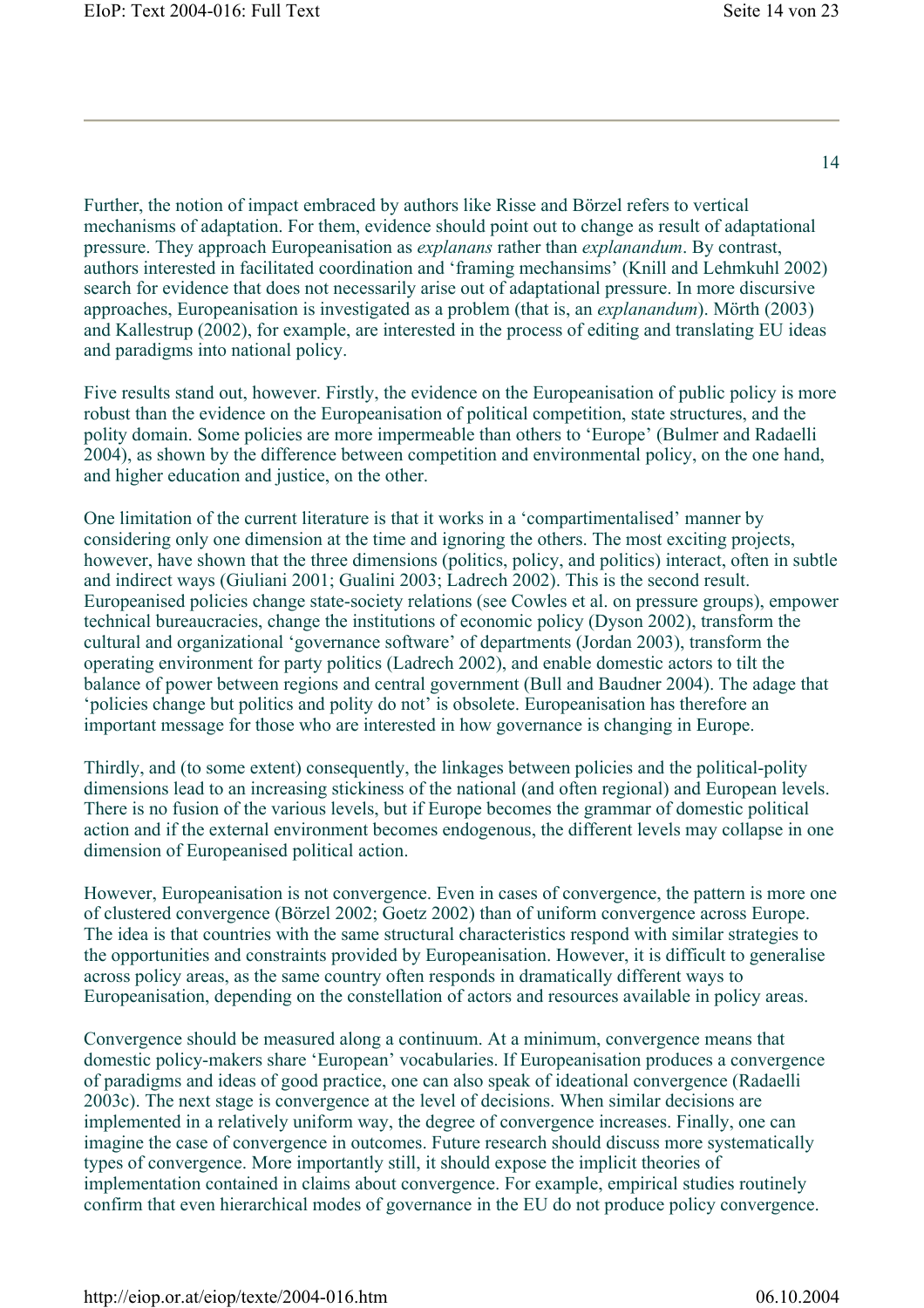Further, the notion of impact embraced by authors like Risse and Börzel refers to vertical mechanisms of adaptation. For them, evidence should point out to change as result of adaptational pressure. They approach Europeanisation as *explanans* rather than *explanandum*. By contrast, authors interested in facilitated coordination and 'framing mechansims' (Knill and Lehmkuhl 2002) search for evidence that does not necessarily arise out of adaptational pressure. In more discursive approaches, Europeanisation is investigated as a problem (that is, an *explanandum*). Mörth (2003) and Kallestrup (2002), for example, are interested in the process of editing and translating EU ideas and paradigms into national policy.

Five results stand out, however. Firstly, the evidence on the Europeanisation of public policy is more robust than the evidence on the Europeanisation of political competition, state structures, and the polity domain. Some policies are more impermeable than others to 'Europe' (Bulmer and Radaelli 2004), as shown by the difference between competition and environmental policy, on the one hand, and higher education and justice, on the other.

One limitation of the current literature is that it works in a 'compartimentalised' manner by considering only one dimension at the time and ignoring the others. The most exciting projects, however, have shown that the three dimensions (politics, policy, and politics) interact, often in subtle and indirect ways (Giuliani 2001; Gualini 2003; Ladrech 2002). This is the second result. Europeanised policies change state-society relations (see Cowles et al. on pressure groups), empower technical bureaucracies, change the institutions of economic policy (Dyson 2002), transform the cultural and organizational 'governance software' of departments (Jordan 2003), transform the operating environment for party politics (Ladrech 2002), and enable domestic actors to tilt the balance of power between regions and central government (Bull and Baudner 2004). The adage that 'policies change but politics and polity do not' is obsolete. Europeanisation has therefore an important message for those who are interested in how governance is changing in Europe.

Thirdly, and (to some extent) consequently, the linkages between policies and the political-polity dimensions lead to an increasing stickiness of the national (and often regional) and European levels. There is no fusion of the various levels, but if Europe becomes the grammar of domestic political action and if the external environment becomes endogenous, the different levels may collapse in one dimension of Europeanised political action.

However, Europeanisation is not convergence. Even in cases of convergence, the pattern is more one of clustered convergence (Börzel 2002; Goetz 2002) than of uniform convergence across Europe. The idea is that countries with the same structural characteristics respond with similar strategies to the opportunities and constraints provided by Europeanisation. However, it is difficult to generalise across policy areas, as the same country often responds in dramatically different ways to Europeanisation, depending on the constellation of actors and resources available in policy areas.

Convergence should be measured along a continuum. At a minimum, convergence means that domestic policy-makers share 'European' vocabularies. If Europeanisation produces a convergence of paradigms and ideas of good practice, one can also speak of ideational convergence (Radaelli 2003c). The next stage is convergence at the level of decisions. When similar decisions are implemented in a relatively uniform way, the degree of convergence increases. Finally, one can imagine the case of convergence in outcomes. Future research should discuss more systematically types of convergence. More importantly still, it should expose the implicit theories of implementation contained in claims about convergence. For example, empirical studies routinely confirm that even hierarchical modes of governance in the EU do not produce policy convergence.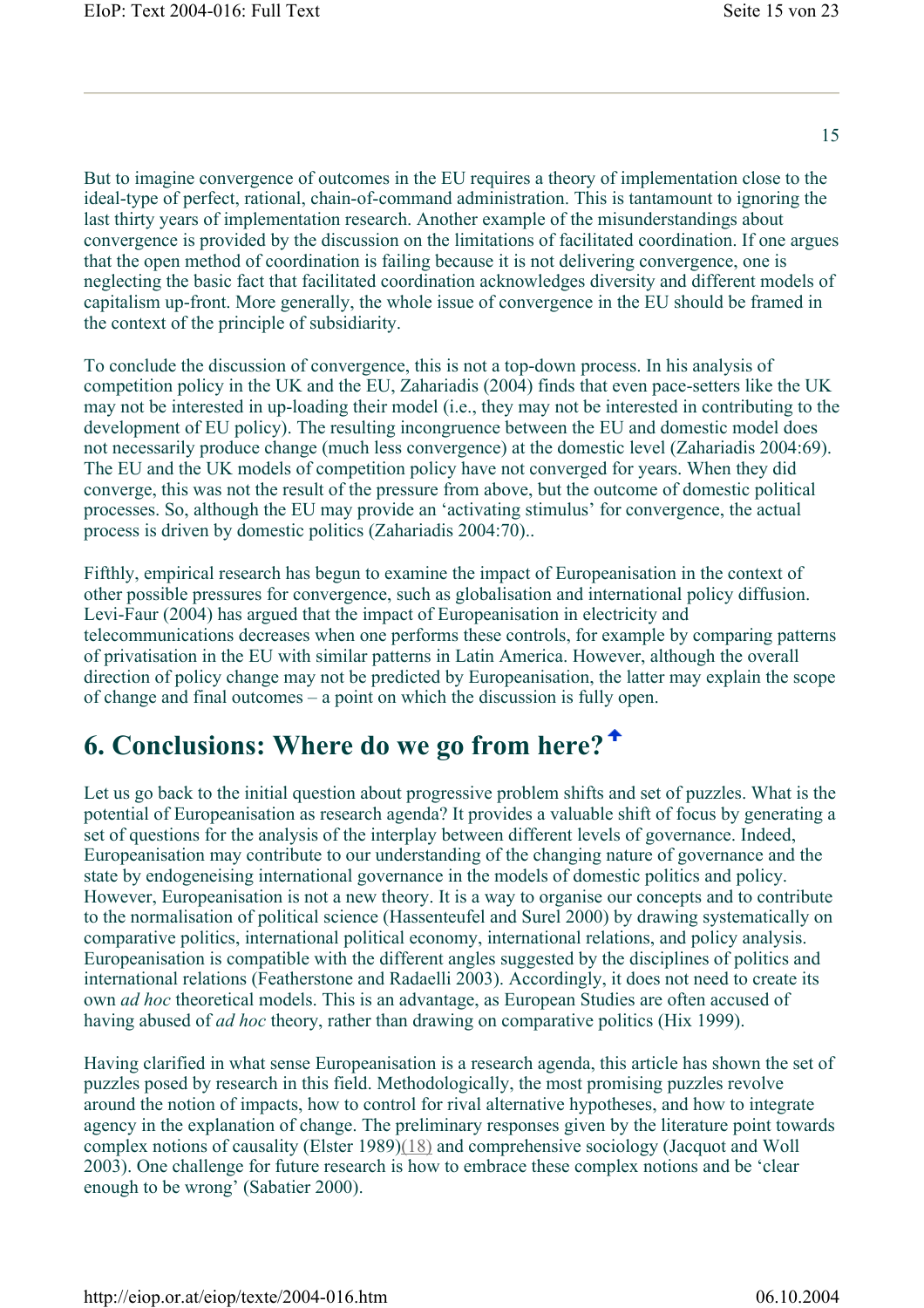But to imagine convergence of outcomes in the EU requires a theory of implementation close to the ideal-type of perfect, rational, chain-of-command administration. This is tantamount to ignoring the last thirty years of implementation research. Another example of the misunderstandings about convergence is provided by the discussion on the limitations of facilitated coordination. If one argues that the open method of coordination is failing because it is not delivering convergence, one is neglecting the basic fact that facilitated coordination acknowledges diversity and different models of capitalism up-front. More generally, the whole issue of convergence in the EU should be framed in the context of the principle of subsidiarity.

To conclude the discussion of convergence, this is not a top-down process. In his analysis of competition policy in the UK and the EU, Zahariadis (2004) finds that even pace-setters like the UK may not be interested in up-loading their model (i.e., they may not be interested in contributing to the development of EU policy). The resulting incongruence between the EU and domestic model does not necessarily produce change (much less convergence) at the domestic level (Zahariadis 2004:69). The EU and the UK models of competition policy have not converged for years. When they did converge, this was not the result of the pressure from above, but the outcome of domestic political processes. So, although the EU may provide an 'activating stimulus' for convergence, the actual process is driven by domestic politics (Zahariadis 2004:70)..

Fifthly, empirical research has begun to examine the impact of Europeanisation in the context of other possible pressures for convergence, such as globalisation and international policy diffusion. Levi-Faur (2004) has argued that the impact of Europeanisation in electricity and telecommunications decreases when one performs these controls, for example by comparing patterns of privatisation in the EU with similar patterns in Latin America. However, although the overall direction of policy change may not be predicted by Europeanisation, the latter may explain the scope of change and final outcomes – a point on which the discussion is fully open.

### **6. Conclusions: Where do we go from here?**

Let us go back to the initial question about progressive problem shifts and set of puzzles. What is the potential of Europeanisation as research agenda? It provides a valuable shift of focus by generating a set of questions for the analysis of the interplay between different levels of governance. Indeed, Europeanisation may contribute to our understanding of the changing nature of governance and the state by endogeneising international governance in the models of domestic politics and policy. However, Europeanisation is not a new theory. It is a way to organise our concepts and to contribute to the normalisation of political science (Hassenteufel and Surel 2000) by drawing systematically on comparative politics, international political economy, international relations, and policy analysis. Europeanisation is compatible with the different angles suggested by the disciplines of politics and international relations (Featherstone and Radaelli 2003). Accordingly, it does not need to create its own *ad hoc* theoretical models. This is an advantage, as European Studies are often accused of having abused of *ad hoc* theory, rather than drawing on comparative politics (Hix 1999).

Having clarified in what sense Europeanisation is a research agenda, this article has shown the set of puzzles posed by research in this field. Methodologically, the most promising puzzles revolve around the notion of impacts, how to control for rival alternative hypotheses, and how to integrate agency in the explanation of change. The preliminary responses given by the literature point towards complex notions of causality (Elster 1989)(18) and comprehensive sociology (Jacquot and Woll 2003). One challenge for future research is how to embrace these complex notions and be 'clear enough to be wrong' (Sabatier 2000).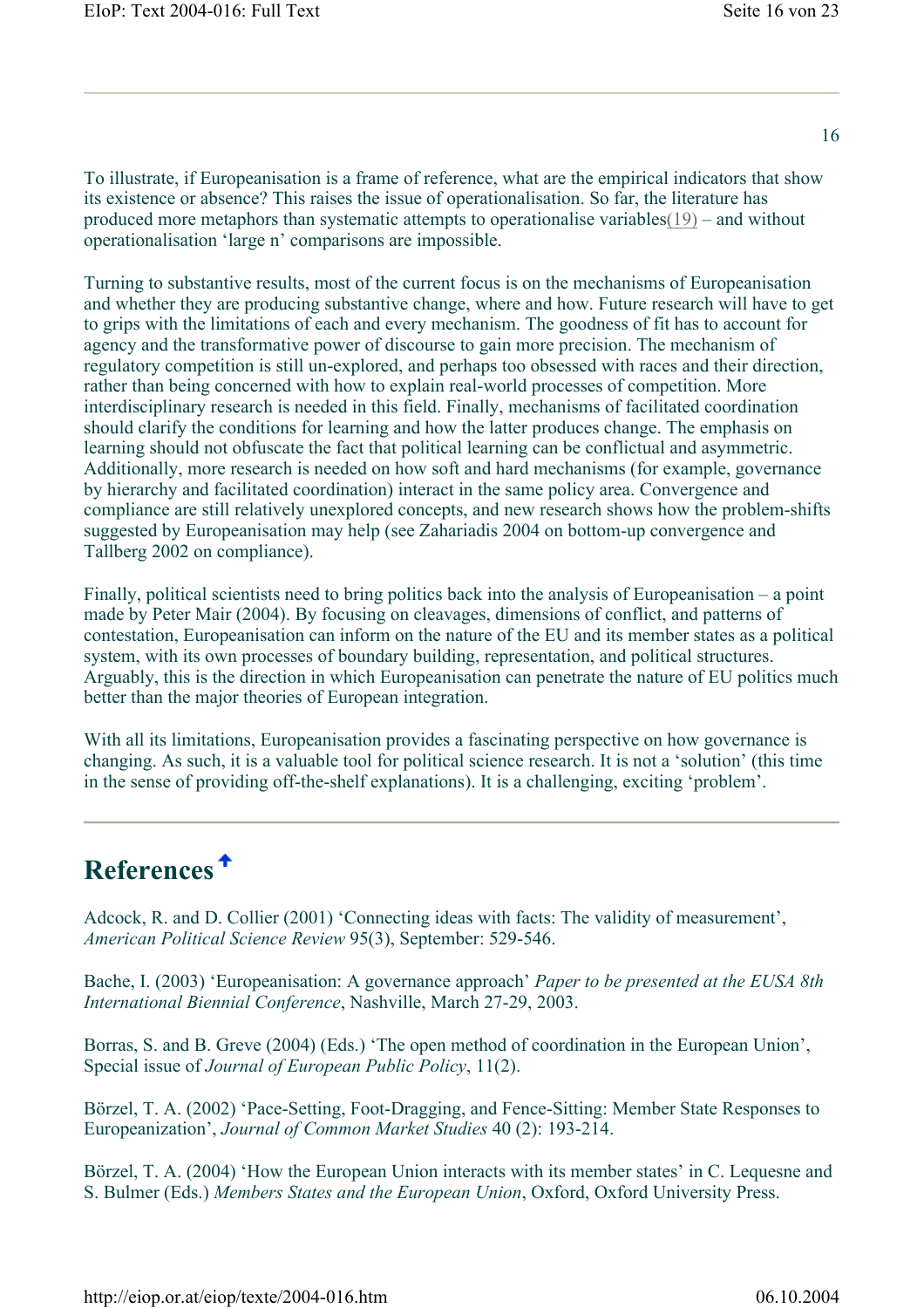To illustrate, if Europeanisation is a frame of reference, what are the empirical indicators that show its existence or absence? This raises the issue of operationalisation. So far, the literature has produced more metaphors than systematic attempts to operationalise variables(19) – and without operationalisation 'large n' comparisons are impossible.

Turning to substantive results, most of the current focus is on the mechanisms of Europeanisation and whether they are producing substantive change, where and how. Future research will have to get to grips with the limitations of each and every mechanism. The goodness of fit has to account for agency and the transformative power of discourse to gain more precision. The mechanism of regulatory competition is still un-explored, and perhaps too obsessed with races and their direction, rather than being concerned with how to explain real-world processes of competition. More interdisciplinary research is needed in this field. Finally, mechanisms of facilitated coordination should clarify the conditions for learning and how the latter produces change. The emphasis on learning should not obfuscate the fact that political learning can be conflictual and asymmetric. Additionally, more research is needed on how soft and hard mechanisms (for example, governance by hierarchy and facilitated coordination) interact in the same policy area. Convergence and compliance are still relatively unexplored concepts, and new research shows how the problem-shifts suggested by Europeanisation may help (see Zahariadis 2004 on bottom-up convergence and Tallberg 2002 on compliance).

Finally, political scientists need to bring politics back into the analysis of Europeanisation – a point made by Peter Mair (2004). By focusing on cleavages, dimensions of conflict, and patterns of contestation, Europeanisation can inform on the nature of the EU and its member states as a political system, with its own processes of boundary building, representation, and political structures. Arguably, this is the direction in which Europeanisation can penetrate the nature of EU politics much better than the major theories of European integration.

With all its limitations. Europeanisation provides a fascinating perspective on how governance is changing. As such, it is a valuable tool for political science research. It is not a 'solution' (this time in the sense of providing off-the-shelf explanations). It is a challenging, exciting 'problem'.

# **References**

Adcock, R. and D. Collier (2001) 'Connecting ideas with facts: The validity of measurement', *American Political Science Review* 95(3), September: 529-546.

Bache, I. (2003) 'Europeanisation: A governance approach' *Paper to be presented at the EUSA 8th International Biennial Conference*, Nashville, March 27-29, 2003.

Borras, S. and B. Greve (2004) (Eds.) 'The open method of coordination in the European Union', Special issue of *Journal of European Public Policy*, 11(2).

Börzel, T. A. (2002) 'Pace-Setting, Foot-Dragging, and Fence-Sitting: Member State Responses to Europeanization', *Journal of Common Market Studies* 40 (2): 193-214.

Börzel, T. A. (2004) 'How the European Union interacts with its member states' in C. Lequesne and S. Bulmer (Eds.) *Members States and the European Union*, Oxford, Oxford University Press.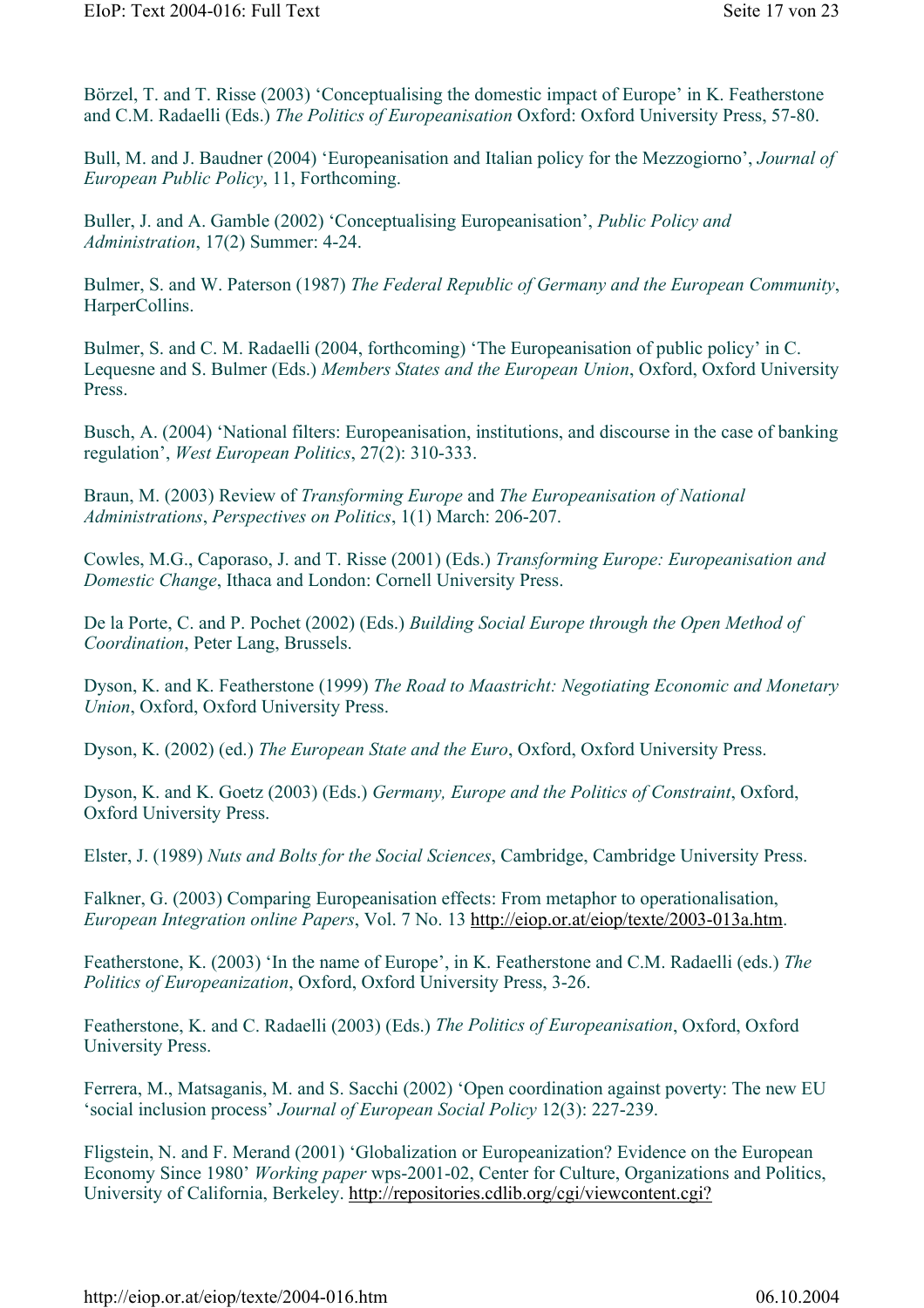Börzel, T. and T. Risse (2003) 'Conceptualising the domestic impact of Europe' in K. Featherstone and C.M. Radaelli (Eds.) *The Politics of Europeanisation* Oxford: Oxford University Press, 57-80.

Bull, M. and J. Baudner (2004) 'Europeanisation and Italian policy for the Mezzogiorno', *Journal of European Public Policy*, 11, Forthcoming.

Buller, J. and A. Gamble (2002) 'Conceptualising Europeanisation', *Public Policy and Administration*, 17(2) Summer: 4-24.

Bulmer, S. and W. Paterson (1987) *The Federal Republic of Germany and the European Community*, HarperCollins.

Bulmer, S. and C. M. Radaelli (2004, forthcoming) 'The Europeanisation of public policy' in C. Lequesne and S. Bulmer (Eds.) *Members States and the European Union*, Oxford, Oxford University Press.

Busch, A. (2004) 'National filters: Europeanisation, institutions, and discourse in the case of banking regulation', *West European Politics*, 27(2): 310-333.

Braun, M. (2003) Review of *Transforming Europe* and *The Europeanisation of National Administrations*, *Perspectives on Politics*, 1(1) March: 206-207.

Cowles, M.G., Caporaso, J. and T. Risse (2001) (Eds.) *Transforming Europe: Europeanisation and Domestic Change*, Ithaca and London: Cornell University Press.

De la Porte, C. and P. Pochet (2002) (Eds.) *Building Social Europe through the Open Method of Coordination*, Peter Lang, Brussels.

Dyson, K. and K. Featherstone (1999) *The Road to Maastricht: Negotiating Economic and Monetary Union*, Oxford, Oxford University Press.

Dyson, K. (2002) (ed.) *The European State and the Euro*, Oxford, Oxford University Press.

Dyson, K. and K. Goetz (2003) (Eds.) *Germany, Europe and the Politics of Constraint*, Oxford, Oxford University Press.

Elster, J. (1989) *Nuts and Bolts for the Social Sciences*, Cambridge, Cambridge University Press.

Falkner, G. (2003) Comparing Europeanisation effects: From metaphor to operationalisation, *European Integration online Papers*, Vol. 7 No. 13 http://eiop.or.at/eiop/texte/2003-013a.htm.

Featherstone, K. (2003) 'In the name of Europe', in K. Featherstone and C.M. Radaelli (eds.) *The Politics of Europeanization*, Oxford, Oxford University Press, 3-26.

Featherstone, K. and C. Radaelli (2003) (Eds.) *The Politics of Europeanisation*, Oxford, Oxford University Press.

Ferrera, M., Matsaganis, M. and S. Sacchi (2002) 'Open coordination against poverty: The new EU 'social inclusion process' *Journal of European Social Policy* 12(3): 227-239.

Fligstein, N. and F. Merand (2001) 'Globalization or Europeanization? Evidence on the European Economy Since 1980' *Working paper* wps-2001-02, Center for Culture, Organizations and Politics, University of California, Berkeley. http://repositories.cdlib.org/cgi/viewcontent.cgi?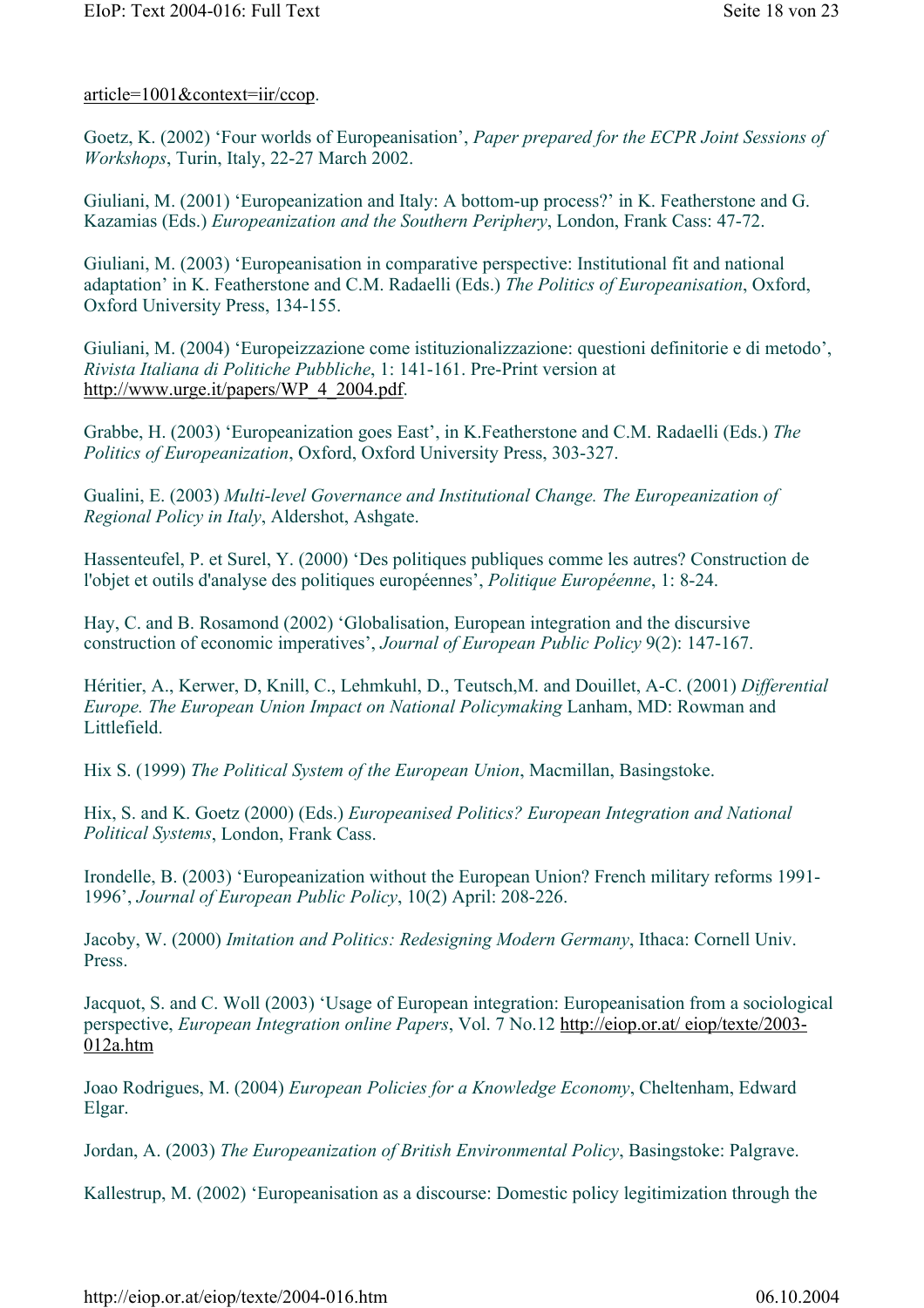#### article=1001&context=iir/ccop.

Goetz, K. (2002) 'Four worlds of Europeanisation', *Paper prepared for the ECPR Joint Sessions of Workshops*, Turin, Italy, 22-27 March 2002.

Giuliani, M. (2001) 'Europeanization and Italy: A bottom-up process?' in K. Featherstone and G. Kazamias (Eds.) *Europeanization and the Southern Periphery*, London, Frank Cass: 47-72.

Giuliani, M. (2003) 'Europeanisation in comparative perspective: Institutional fit and national adaptation' in K. Featherstone and C.M. Radaelli (Eds.) *The Politics of Europeanisation*, Oxford, Oxford University Press, 134-155.

Giuliani, M. (2004) 'Europeizzazione come istituzionalizzazione: questioni definitorie e di metodo', *Rivista Italiana di Politiche Pubbliche*, 1: 141-161. Pre-Print version at http://www.urge.it/papers/WP\_4\_2004.pdf.

Grabbe, H. (2003) 'Europeanization goes East', in K.Featherstone and C.M. Radaelli (Eds.) *The Politics of Europeanization*, Oxford, Oxford University Press, 303-327.

Gualini, E. (2003) *Multi-level Governance and Institutional Change. The Europeanization of Regional Policy in Italy*, Aldershot, Ashgate.

Hassenteufel, P. et Surel, Y. (2000) 'Des politiques publiques comme les autres? Construction de l'objet et outils d'analyse des politiques européennes', *Politique Européenne*, 1: 8-24.

Hay, C. and B. Rosamond (2002) 'Globalisation, European integration and the discursive construction of economic imperatives', *Journal of European Public Policy* 9(2): 147-167.

Héritier, A., Kerwer, D, Knill, C., Lehmkuhl, D., Teutsch,M. and Douillet, A-C. (2001) *Differential Europe. The European Union Impact on National Policymaking* Lanham, MD: Rowman and Littlefield.

Hix S. (1999) *The Political System of the European Union*, Macmillan, Basingstoke.

Hix, S. and K. Goetz (2000) (Eds.) *Europeanised Politics? European Integration and National Political Systems*, London, Frank Cass.

Irondelle, B. (2003) 'Europeanization without the European Union? French military reforms 1991- 1996', *Journal of European Public Policy*, 10(2) April: 208-226.

Jacoby, W. (2000) *Imitation and Politics: Redesigning Modern Germany*, Ithaca: Cornell Univ. Press.

Jacquot, S. and C. Woll (2003) 'Usage of European integration: Europeanisation from a sociological perspective, *European Integration online Papers*, Vol. 7 No.12 http://eiop.or.at/ eiop/texte/2003- 012a.htm

Joao Rodrigues, M. (2004) *European Policies for a Knowledge Economy*, Cheltenham, Edward Elgar.

Jordan, A. (2003) *The Europeanization of British Environmental Policy*, Basingstoke: Palgrave.

Kallestrup, M. (2002) 'Europeanisation as a discourse: Domestic policy legitimization through the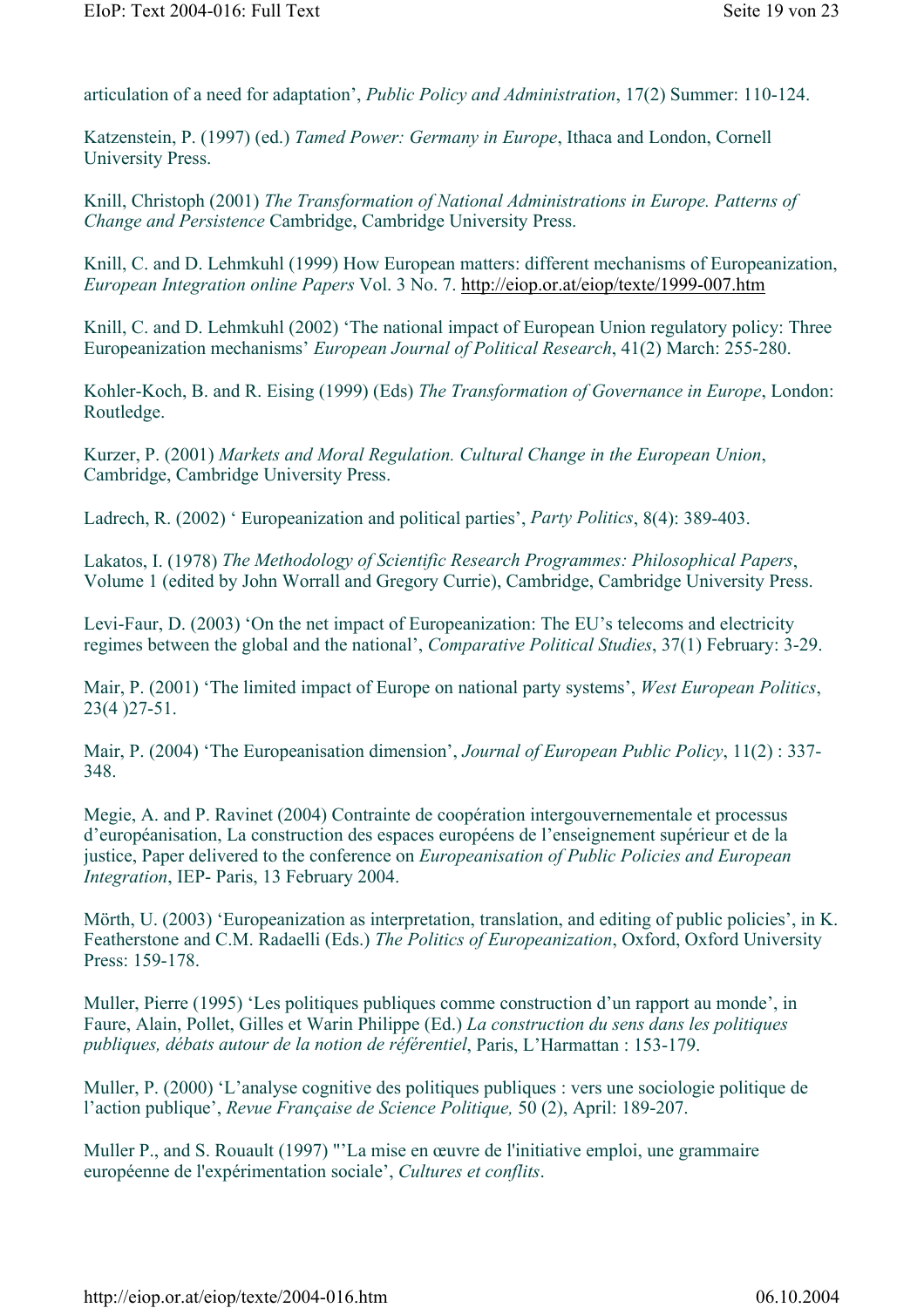articulation of a need for adaptation', *Public Policy and Administration*, 17(2) Summer: 110-124.

Katzenstein, P. (1997) (ed.) *Tamed Power: Germany in Europe*, Ithaca and London, Cornell University Press.

Knill, Christoph (2001) *The Transformation of National Administrations in Europe. Patterns of Change and Persistence* Cambridge, Cambridge University Press.

Knill, C. and D. Lehmkuhl (1999) How European matters: different mechanisms of Europeanization, *European Integration online Papers* Vol. 3 No. 7. http://eiop.or.at/eiop/texte/1999-007.htm

Knill, C. and D. Lehmkuhl (2002) 'The national impact of European Union regulatory policy: Three Europeanization mechanisms' *European Journal of Political Research*, 41(2) March: 255-280.

Kohler-Koch, B. and R. Eising (1999) (Eds) *The Transformation of Governance in Europe*, London: Routledge.

Kurzer, P. (2001) *Markets and Moral Regulation. Cultural Change in the European Union*, Cambridge, Cambridge University Press.

Ladrech, R. (2002) ' Europeanization and political parties', *Party Politics*, 8(4): 389-403.

Lakatos, I. (1978) *The Methodology of Scientific Research Programmes: Philosophical Papers*, Volume 1 (edited by John Worrall and Gregory Currie), Cambridge, Cambridge University Press.

Levi-Faur, D. (2003) 'On the net impact of Europeanization: The EU's telecoms and electricity regimes between the global and the national', *Comparative Political Studies*, 37(1) February: 3-29.

Mair, P. (2001) 'The limited impact of Europe on national party systems', *West European Politics*, 23(4 )27-51.

Mair, P. (2004) 'The Europeanisation dimension', *Journal of European Public Policy*, 11(2) : 337- 348.

Megie, A. and P. Ravinet (2004) Contrainte de coopération intergouvernementale et processus d'européanisation, La construction des espaces européens de l'enseignement supérieur et de la justice, Paper delivered to the conference on *Europeanisation of Public Policies and European Integration*, IEP- Paris, 13 February 2004.

Mörth, U. (2003) 'Europeanization as interpretation, translation, and editing of public policies', in K. Featherstone and C.M. Radaelli (Eds.) *The Politics of Europeanization*, Oxford, Oxford University Press: 159-178.

Muller, Pierre (1995) 'Les politiques publiques comme construction d'un rapport au monde', in Faure, Alain, Pollet, Gilles et Warin Philippe (Ed.) *La construction du sens dans les politiques publiques, débats autour de la notion de référentiel*, Paris, L'Harmattan : 153-179.

Muller, P. (2000) 'L'analyse cognitive des politiques publiques : vers une sociologie politique de l'action publique', *Revue Française de Science Politique,* 50 (2), April: 189-207.

Muller P., and S. Rouault (1997) "'La mise en œuvre de l'initiative emploi, une grammaire européenne de l'expérimentation sociale', *Cultures et conflits*.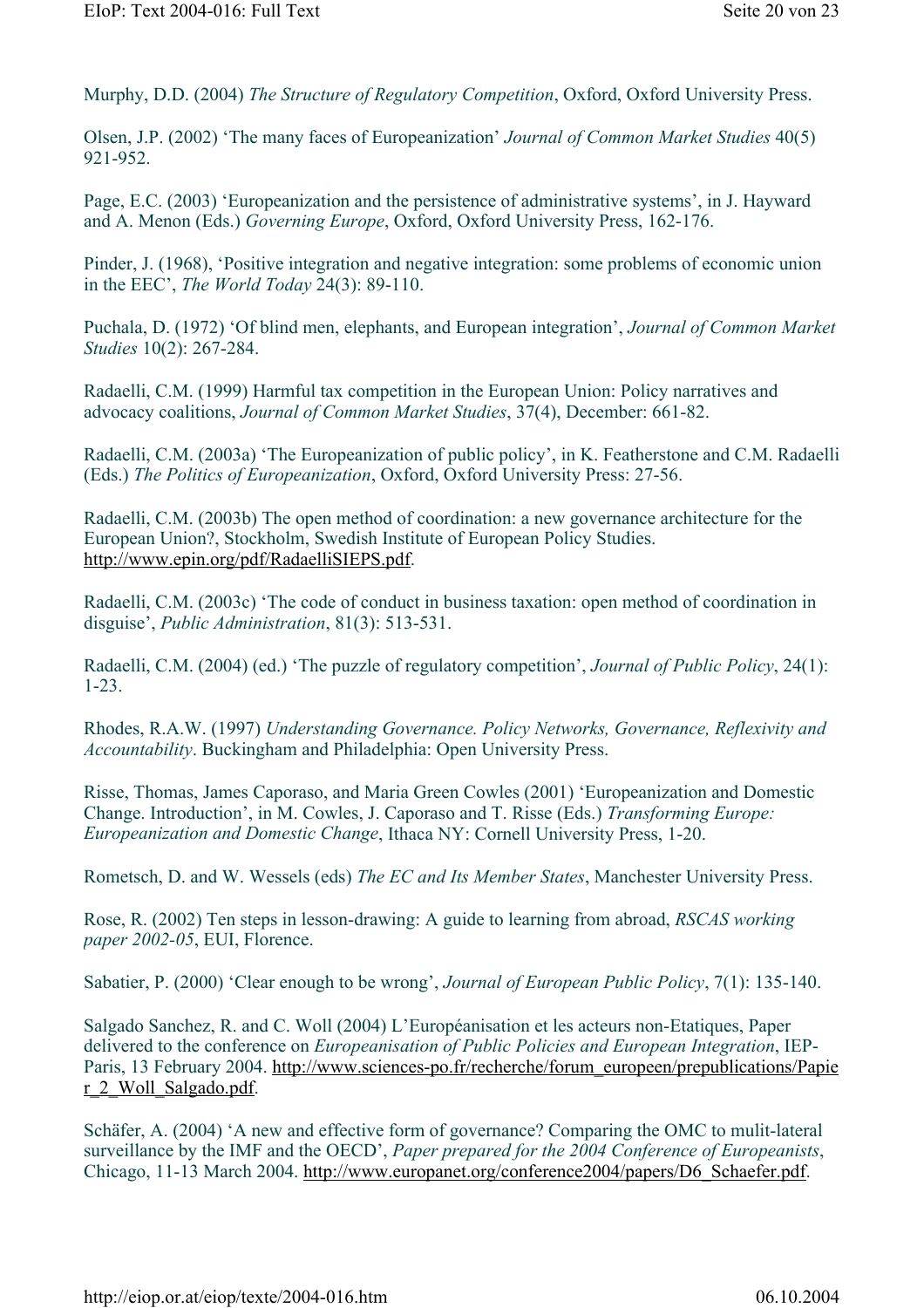Murphy, D.D. (2004) *The Structure of Regulatory Competition*, Oxford, Oxford University Press.

Olsen, J.P. (2002) 'The many faces of Europeanization' *Journal of Common Market Studies* 40(5) 921-952.

Page, E.C. (2003) 'Europeanization and the persistence of administrative systems', in J. Hayward and A. Menon (Eds.) *Governing Europe*, Oxford, Oxford University Press, 162-176.

Pinder, J. (1968), 'Positive integration and negative integration: some problems of economic union in the EEC', *The World Today* 24(3): 89-110.

Puchala, D. (1972) 'Of blind men, elephants, and European integration', *Journal of Common Market Studies* 10(2): 267-284.

Radaelli, C.M. (1999) Harmful tax competition in the European Union: Policy narratives and advocacy coalitions, *Journal of Common Market Studies*, 37(4), December: 661-82.

Radaelli, C.M. (2003a) 'The Europeanization of public policy', in K. Featherstone and C.M. Radaelli (Eds.) *The Politics of Europeanization*, Oxford, Oxford University Press: 27-56.

Radaelli, C.M. (2003b) The open method of coordination: a new governance architecture for the European Union?, Stockholm, Swedish Institute of European Policy Studies. http://www.epin.org/pdf/RadaelliSIEPS.pdf.

Radaelli, C.M. (2003c) 'The code of conduct in business taxation: open method of coordination in disguise', *Public Administration*, 81(3): 513-531.

Radaelli, C.M. (2004) (ed.) 'The puzzle of regulatory competition', *Journal of Public Policy*, 24(1): 1-23.

Rhodes, R.A.W. (1997) *Understanding Governance. Policy Networks, Governance, Reflexivity and Accountability*. Buckingham and Philadelphia: Open University Press.

Risse, Thomas, James Caporaso, and Maria Green Cowles (2001) 'Europeanization and Domestic Change. Introduction', in M. Cowles, J. Caporaso and T. Risse (Eds.) *Transforming Europe: Europeanization and Domestic Change*, Ithaca NY: Cornell University Press, 1-20.

Rometsch, D. and W. Wessels (eds) *The EC and Its Member States*, Manchester University Press.

Rose, R. (2002) Ten steps in lesson-drawing: A guide to learning from abroad, *RSCAS working paper 2002-05*, EUI, Florence.

Sabatier, P. (2000) 'Clear enough to be wrong', *Journal of European Public Policy*, 7(1): 135-140.

Salgado Sanchez, R. and C. Woll (2004) L'Européanisation et les acteurs non-Etatiques, Paper delivered to the conference on *Europeanisation of Public Policies and European Integration*, IEP-Paris, 13 February 2004. http://www.sciences-po.fr/recherche/forum\_europeen/prepublications/Papie r\_2\_Woll\_Salgado.pdf.

Schäfer, A. (2004) 'A new and effective form of governance? Comparing the OMC to mulit-lateral surveillance by the IMF and the OECD', *Paper prepared for the 2004 Conference of Europeanists*, Chicago, 11-13 March 2004. http://www.europanet.org/conference2004/papers/D6\_Schaefer.pdf.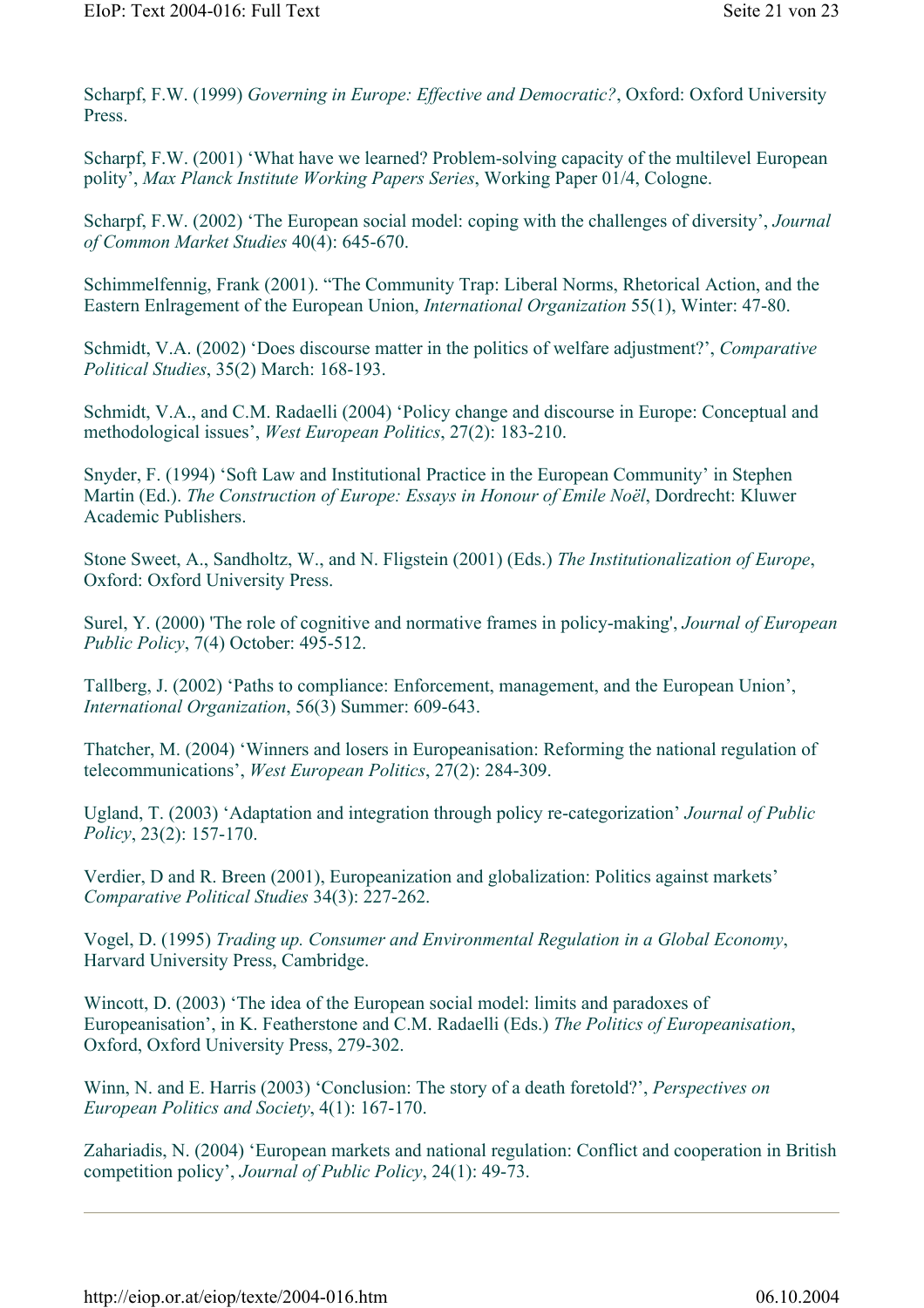Scharpf, F.W. (1999) *Governing in Europe: Effective and Democratic?*, Oxford: Oxford University Press.

Scharpf, F.W. (2001) 'What have we learned? Problem-solving capacity of the multilevel European polity', *Max Planck Institute Working Papers Series*, Working Paper 01/4, Cologne.

Scharpf, F.W. (2002) 'The European social model: coping with the challenges of diversity', *Journal of Common Market Studies* 40(4): 645-670.

Schimmelfennig, Frank (2001). "The Community Trap: Liberal Norms, Rhetorical Action, and the Eastern Enlragement of the European Union, *International Organization* 55(1), Winter: 47-80.

Schmidt, V.A. (2002) 'Does discourse matter in the politics of welfare adjustment?', *Comparative Political Studies*, 35(2) March: 168-193.

Schmidt, V.A., and C.M. Radaelli (2004) 'Policy change and discourse in Europe: Conceptual and methodological issues', *West European Politics*, 27(2): 183-210.

Snyder, F. (1994) 'Soft Law and Institutional Practice in the European Community' in Stephen Martin (Ed.). *The Construction of Europe: Essays in Honour of Emile Noël*, Dordrecht: Kluwer Academic Publishers.

Stone Sweet, A., Sandholtz, W., and N. Fligstein (2001) (Eds.) *The Institutionalization of Europe*, Oxford: Oxford University Press.

Surel, Y. (2000) 'The role of cognitive and normative frames in policy-making', *Journal of European Public Policy*, 7(4) October: 495-512.

Tallberg, J. (2002) 'Paths to compliance: Enforcement, management, and the European Union', *International Organization*, 56(3) Summer: 609-643.

Thatcher, M. (2004) 'Winners and losers in Europeanisation: Reforming the national regulation of telecommunications', *West European Politics*, 27(2): 284-309.

Ugland, T. (2003) 'Adaptation and integration through policy re-categorization' *Journal of Public Policy*, 23(2): 157-170.

Verdier, D and R. Breen (2001), Europeanization and globalization: Politics against markets' *Comparative Political Studies* 34(3): 227-262.

Vogel, D. (1995) *Trading up. Consumer and Environmental Regulation in a Global Economy*, Harvard University Press, Cambridge.

Wincott, D. (2003) 'The idea of the European social model: limits and paradoxes of Europeanisation', in K. Featherstone and C.M. Radaelli (Eds.) *The Politics of Europeanisation*, Oxford, Oxford University Press, 279-302.

Winn, N. and E. Harris (2003) 'Conclusion: The story of a death foretold?', *Perspectives on European Politics and Society*, 4(1): 167-170.

Zahariadis, N. (2004) 'European markets and national regulation: Conflict and cooperation in British competition policy', *Journal of Public Policy*, 24(1): 49-73.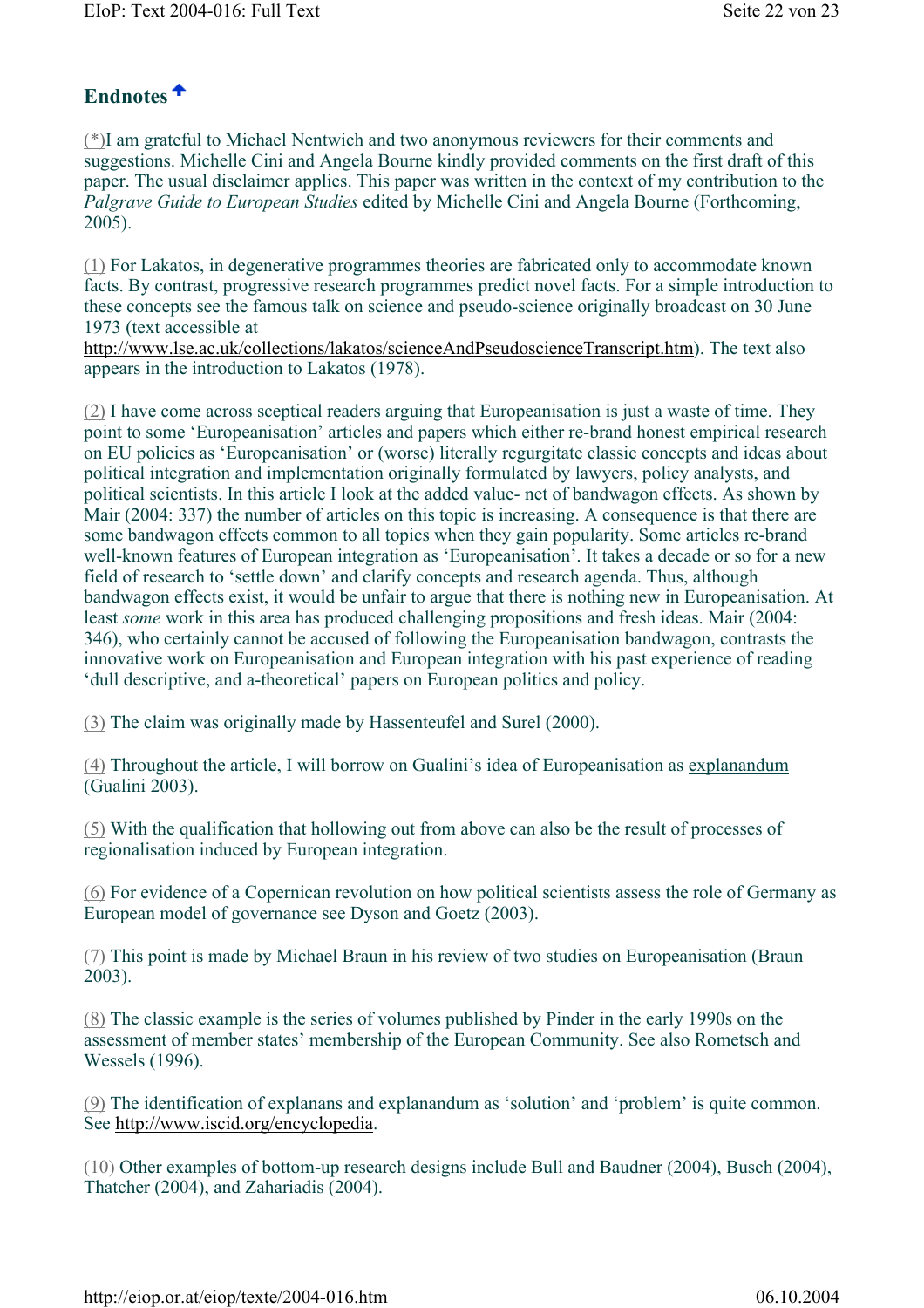#### **Endnotes**

(\*)I am grateful to Michael Nentwich and two anonymous reviewers for their comments and suggestions. Michelle Cini and Angela Bourne kindly provided comments on the first draft of this paper. The usual disclaimer applies. This paper was written in the context of my contribution to the *Palgrave Guide to European Studies* edited by Michelle Cini and Angela Bourne (Forthcoming, 2005).

(1) For Lakatos, in degenerative programmes theories are fabricated only to accommodate known facts. By contrast, progressive research programmes predict novel facts. For a simple introduction to these concepts see the famous talk on science and pseudo-science originally broadcast on 30 June 1973 (text accessible at

http://www.lse.ac.uk/collections/lakatos/scienceAndPseudoscienceTranscript.htm). The text also appears in the introduction to Lakatos (1978).

(2) I have come across sceptical readers arguing that Europeanisation is just a waste of time. They point to some 'Europeanisation' articles and papers which either re-brand honest empirical research on EU policies as 'Europeanisation' or (worse) literally regurgitate classic concepts and ideas about political integration and implementation originally formulated by lawyers, policy analysts, and political scientists. In this article I look at the added value- net of bandwagon effects. As shown by Mair (2004: 337) the number of articles on this topic is increasing. A consequence is that there are some bandwagon effects common to all topics when they gain popularity. Some articles re-brand well-known features of European integration as 'Europeanisation'. It takes a decade or so for a new field of research to 'settle down' and clarify concepts and research agenda. Thus, although bandwagon effects exist, it would be unfair to argue that there is nothing new in Europeanisation. At least *some* work in this area has produced challenging propositions and fresh ideas. Mair (2004: 346), who certainly cannot be accused of following the Europeanisation bandwagon, contrasts the innovative work on Europeanisation and European integration with his past experience of reading 'dull descriptive, and a-theoretical' papers on European politics and policy.

(3) The claim was originally made by Hassenteufel and Surel (2000).

(4) Throughout the article, I will borrow on Gualini's idea of Europeanisation as explanandum (Gualini 2003).

(5) With the qualification that hollowing out from above can also be the result of processes of regionalisation induced by European integration.

(6) For evidence of a Copernican revolution on how political scientists assess the role of Germany as European model of governance see Dyson and Goetz (2003).

(7) This point is made by Michael Braun in his review of two studies on Europeanisation (Braun 2003).

(8) The classic example is the series of volumes published by Pinder in the early 1990s on the assessment of member states' membership of the European Community. See also Rometsch and Wessels (1996).

(9) The identification of explanans and explanandum as 'solution' and 'problem' is quite common. See http://www.iscid.org/encyclopedia.

(10) Other examples of bottom-up research designs include Bull and Baudner (2004), Busch (2004), Thatcher (2004), and Zahariadis (2004).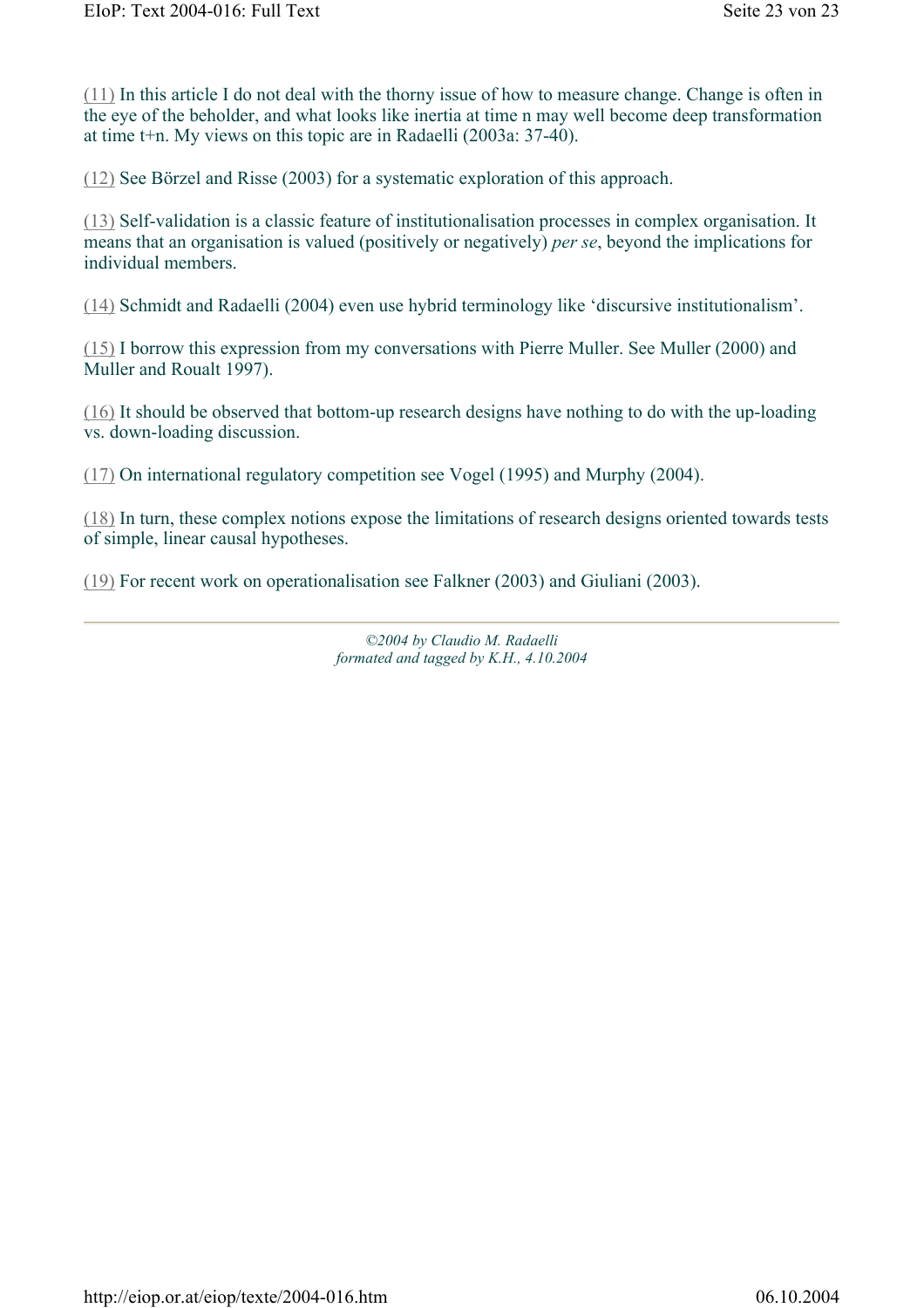(11) In this article I do not deal with the thorny issue of how to measure change. Change is often in the eye of the beholder, and what looks like inertia at time n may well become deep transformation at time t+n. My views on this topic are in Radaelli (2003a: 37-40).

(12) See Börzel and Risse (2003) for a systematic exploration of this approach.

(13) Self-validation is a classic feature of institutionalisation processes in complex organisation. It means that an organisation is valued (positively or negatively) *per se*, beyond the implications for individual members.

(14) Schmidt and Radaelli (2004) even use hybrid terminology like 'discursive institutionalism'.

(15) I borrow this expression from my conversations with Pierre Muller. See Muller (2000) and Muller and Roualt 1997).

(16) It should be observed that bottom-up research designs have nothing to do with the up-loading vs. down-loading discussion.

(17) On international regulatory competition see Vogel (1995) and Murphy (2004).

(18) In turn, these complex notions expose the limitations of research designs oriented towards tests of simple, linear causal hypotheses.

(19) For recent work on operationalisation see Falkner (2003) and Giuliani (2003).

*©2004 by Claudio M. Radaelli formated and tagged by K.H., 4.10.2004*